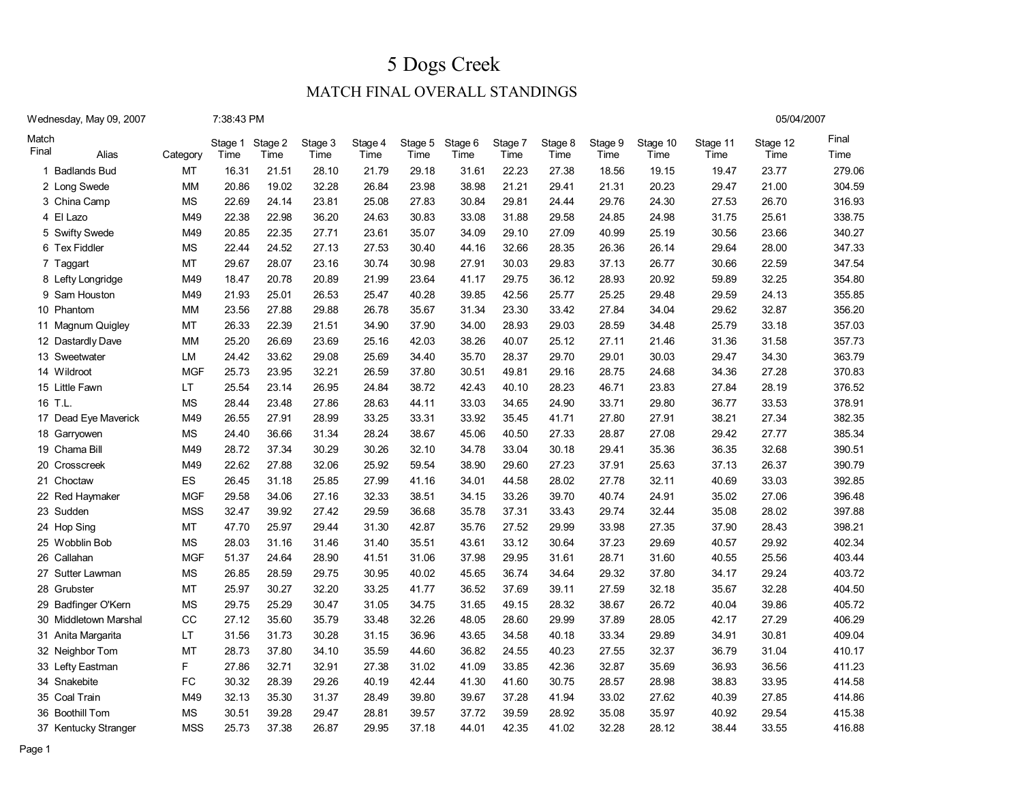05/04/2007

### MATCH FINAL OVERALL STANDINGS

| Wednesday, May 09, 2007 |  |  |
|-------------------------|--|--|
|-------------------------|--|--|

7:38:43 PM

| Match<br>Final | Alias                 | Category    | Stage 1<br>Time | Stage 2<br>Time | Stage 3<br>Time | Stage 4<br>Time | Stage 5<br>Time | Stage 6<br>Time | Stage 7<br>Time | Stage 8<br>Time | Stage 9<br>Time | Stage 10<br>Time | Stage 11<br>Time | Stage 12<br>Time | Final<br>Time |
|----------------|-----------------------|-------------|-----------------|-----------------|-----------------|-----------------|-----------------|-----------------|-----------------|-----------------|-----------------|------------------|------------------|------------------|---------------|
|                | 1 Badlands Bud        | MT          | 16.31           | 21.51           | 28.10           | 21.79           | 29.18           | 31.61           | 22.23           | 27.38           | 18.56           | 19.15            | 19.47            | 23.77            | 279.06        |
|                | 2 Long Swede          | <b>MM</b>   | 20.86           | 19.02           | 32.28           | 26.84           | 23.98           | 38.98           | 21.21           | 29.41           | 21.31           | 20.23            | 29.47            | 21.00            | 304.59        |
|                | 3 China Camp          | <b>MS</b>   | 22.69           | 24.14           | 23.81           | 25.08           | 27.83           | 30.84           | 29.81           | 24.44           | 29.76           | 24.30            | 27.53            | 26.70            | 316.93        |
|                | 4 El Lazo             | M49         | 22.38           | 22.98           | 36.20           | 24.63           | 30.83           | 33.08           | 31.88           | 29.58           | 24.85           | 24.98            | 31.75            | 25.61            | 338.75        |
|                | 5 Swifty Swede        | M49         | 20.85           | 22.35           | 27.71           | 23.61           | 35.07           | 34.09           | 29.10           | 27.09           | 40.99           | 25.19            | 30.56            | 23.66            | 340.27        |
|                | 6 Tex Fiddler         | <b>MS</b>   | 22.44           | 24.52           | 27.13           | 27.53           | 30.40           | 44.16           | 32.66           | 28.35           | 26.36           | 26.14            | 29.64            | 28.00            | 347.33        |
|                | 7 Taggart             | MT          | 29.67           | 28.07           | 23.16           | 30.74           | 30.98           | 27.91           | 30.03           | 29.83           | 37.13           | 26.77            | 30.66            | 22.59            | 347.54        |
|                | 8 Lefty Longridge     | M49         | 18.47           | 20.78           | 20.89           | 21.99           | 23.64           | 41.17           | 29.75           | 36.12           | 28.93           | 20.92            | 59.89            | 32.25            | 354.80        |
|                | 9 Sam Houston         | M49         | 21.93           | 25.01           | 26.53           | 25.47           | 40.28           | 39.85           | 42.56           | 25.77           | 25.25           | 29.48            | 29.59            | 24.13            | 355.85        |
|                | 10 Phantom            | MM          | 23.56           | 27.88           | 29.88           | 26.78           | 35.67           | 31.34           | 23.30           | 33.42           | 27.84           | 34.04            | 29.62            | 32.87            | 356.20        |
|                | 11 Magnum Quigley     | MT          | 26.33           | 22.39           | 21.51           | 34.90           | 37.90           | 34.00           | 28.93           | 29.03           | 28.59           | 34.48            | 25.79            | 33.18            | 357.03        |
|                | 12 Dastardly Dave     | <b>MM</b>   | 25.20           | 26.69           | 23.69           | 25.16           | 42.03           | 38.26           | 40.07           | 25.12           | 27.11           | 21.46            | 31.36            | 31.58            | 357.73        |
|                | 13 Sweetwater         | LM          | 24.42           | 33.62           | 29.08           | 25.69           | 34.40           | 35.70           | 28.37           | 29.70           | 29.01           | 30.03            | 29.47            | 34.30            | 363.79        |
|                | 14 Wildroot           | <b>MGF</b>  | 25.73           | 23.95           | 32.21           | 26.59           | 37.80           | 30.51           | 49.81           | 29.16           | 28.75           | 24.68            | 34.36            | 27.28            | 370.83        |
|                | 15 Little Fawn        | LT          | 25.54           | 23.14           | 26.95           | 24.84           | 38.72           | 42.43           | 40.10           | 28.23           | 46.71           | 23.83            | 27.84            | 28.19            | 376.52        |
|                | 16 T.L                | <b>MS</b>   | 28.44           | 23.48           | 27.86           | 28.63           | 44.11           | 33.03           | 34.65           | 24.90           | 33.71           | 29.80            | 36.77            | 33.53            | 378.91        |
|                | 17 Dead Eye Maverick  | M49         | 26.55           | 27.91           | 28.99           | 33.25           | 33.31           | 33.92           | 35.45           | 41.71           | 27.80           | 27.91            | 38.21            | 27.34            | 382.35        |
|                | 18 Garryowen          | <b>MS</b>   | 24.40           | 36.66           | 31.34           | 28.24           | 38.67           | 45.06           | 40.50           | 27.33           | 28.87           | 27.08            | 29.42            | 27.77            | 385.34        |
|                | 19 Chama Bill         | M49         | 28.72           | 37.34           | 30.29           | 30.26           | 32.10           | 34.78           | 33.04           | 30.18           | 29.41           | 35.36            | 36.35            | 32.68            | 390.51        |
|                | 20 Crosscreek         | M49         | 22.62           | 27.88           | 32.06           | 25.92           | 59.54           | 38.90           | 29.60           | 27.23           | 37.91           | 25.63            | 37.13            | 26.37            | 390.79        |
|                | 21 Choctaw            | ES.         | 26.45           | 31.18           | 25.85           | 27.99           | 41.16           | 34.01           | 44.58           | 28.02           | 27.78           | 32.11            | 40.69            | 33.03            | 392.85        |
|                | 22 Red Haymaker       | <b>MGF</b>  | 29.58           | 34.06           | 27.16           | 32.33           | 38.51           | 34.15           | 33.26           | 39.70           | 40.74           | 24.91            | 35.02            | 27.06            | 396.48        |
|                | 23 Sudden             | <b>MSS</b>  | 32.47           | 39.92           | 27.42           | 29.59           | 36.68           | 35.78           | 37.31           | 33.43           | 29.74           | 32.44            | 35.08            | 28.02            | 397.88        |
|                | 24 Hop Sing           | MT          | 47.70           | 25.97           | 29.44           | 31.30           | 42.87           | 35.76           | 27.52           | 29.99           | 33.98           | 27.35            | 37.90            | 28.43            | 398.21        |
|                | 25 Wobblin Bob        | <b>MS</b>   | 28.03           | 31.16           | 31.46           | 31.40           | 35.51           | 43.61           | 33.12           | 30.64           | 37.23           | 29.69            | 40.57            | 29.92            | 402.34        |
|                | 26 Callahan           | <b>MGF</b>  | 51.37           | 24.64           | 28.90           | 41.51           | 31.06           | 37.98           | 29.95           | 31.61           | 28.71           | 31.60            | 40.55            | 25.56            | 403.44        |
|                | 27 Sutter Lawman      | <b>MS</b>   | 26.85           | 28.59           | 29.75           | 30.95           | 40.02           | 45.65           | 36.74           | 34.64           | 29.32           | 37.80            | 34.17            | 29.24            | 403.72        |
|                | 28 Grubster           | MT          | 25.97           | 30.27           | 32.20           | 33.25           | 41.77           | 36.52           | 37.69           | 39.11           | 27.59           | 32.18            | 35.67            | 32.28            | 404.50        |
|                | 29 Badfinger O'Kern   | <b>MS</b>   | 29.75           | 25.29           | 30.47           | 31.05           | 34.75           | 31.65           | 49.15           | 28.32           | 38.67           | 26.72            | 40.04            | 39.86            | 405.72        |
|                | 30 Middletown Marshal | $_{\rm CC}$ | 27.12           | 35.60           | 35.79           | 33.48           | 32.26           | 48.05           | 28.60           | 29.99           | 37.89           | 28.05            | 42.17            | 27.29            | 406.29        |
|                | 31 Anita Margarita    | LT.         | 31.56           | 31.73           | 30.28           | 31.15           | 36.96           | 43.65           | 34.58           | 40.18           | 33.34           | 29.89            | 34.91            | 30.81            | 409.04        |
|                | 32 Neighbor Tom       | MT          | 28.73           | 37.80           | 34.10           | 35.59           | 44.60           | 36.82           | 24.55           | 40.23           | 27.55           | 32.37            | 36.79            | 31.04            | 410.17        |
|                | 33 Lefty Eastman      | F           | 27.86           | 32.71           | 32.91           | 27.38           | 31.02           | 41.09           | 33.85           | 42.36           | 32.87           | 35.69            | 36.93            | 36.56            | 411.23        |
|                | 34 Snakebite          | <b>FC</b>   | 30.32           | 28.39           | 29.26           | 40.19           | 42.44           | 41.30           | 41.60           | 30.75           | 28.57           | 28.98            | 38.83            | 33.95            | 414.58        |
|                | 35 Coal Train         | M49         | 32.13           | 35.30           | 31.37           | 28.49           | 39.80           | 39.67           | 37.28           | 41.94           | 33.02           | 27.62            | 40.39            | 27.85            | 414.86        |
|                | 36 Boothill Tom       | <b>MS</b>   | 30.51           | 39.28           | 29.47           | 28.81           | 39.57           | 37.72           | 39.59           | 28.92           | 35.08           | 35.97            | 40.92            | 29.54            | 415.38        |
|                | 37 Kentucky Stranger  | <b>MSS</b>  | 25.73           | 37.38           | 26.87           | 29.95           | 37.18           | 44.01           | 42.35           | 41.02           | 32.28           | 28.12            | 38.44            | 33.55            | 416.88        |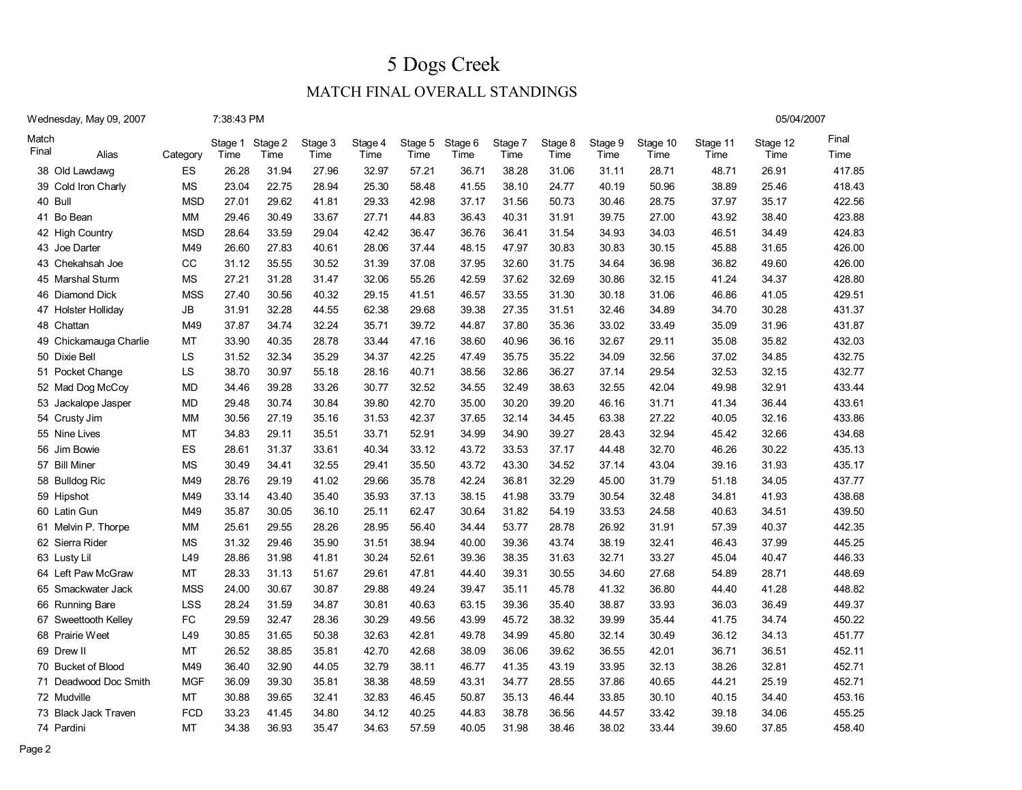05/04/2007

| Wednesday, May 09, 2007 | 7:38:43 PM |
|-------------------------|------------|
|                         |            |

| Match<br>Final | Alias                  | Category    | Stage 1<br>Time | Stage 2<br>Time | Stage 3<br>Time | Stage 4<br>Time | Stage 5<br>Time | Stage 6<br>Time | Stage 7<br>Time | Stage 8<br>Time | Stage 9<br>Time | Stage 10<br>Time | Stage 11<br>Time | Stage 12<br>Time | Final<br>Time |
|----------------|------------------------|-------------|-----------------|-----------------|-----------------|-----------------|-----------------|-----------------|-----------------|-----------------|-----------------|------------------|------------------|------------------|---------------|
|                | 38 Old Lawdawg         | ES          | 26.28           | 31.94           | 27.96           | 32.97           | 57.21           | 36.71           | 38.28           | 31.06           | 31.11           | 28.71            | 48.71            | 26.91            | 417.85        |
|                | 39 Cold Iron Charly    | <b>MS</b>   | 23.04           | 22.75           | 28.94           | 25.30           | 58.48           | 41.55           | 38.10           | 24.77           | 40.19           | 50.96            | 38.89            | 25.46            | 418.43        |
|                | 40 Bull                | <b>MSD</b>  | 27.01           | 29.62           | 41.81           | 29.33           | 42.98           | 37.17           | 31.56           | 50.73           | 30.46           | 28.75            | 37.97            | 35.17            | 422.56        |
|                | 41 Bo Bean             | MM          | 29.46           | 30.49           | 33.67           | 27.71           | 44.83           | 36.43           | 40.31           | 31.91           | 39.75           | 27.00            | 43.92            | 38.40            | 423.88        |
|                | 42 High Country        | <b>MSD</b>  | 28.64           | 33.59           | 29.04           | 42.42           | 36.47           | 36.76           | 36.41           | 31.54           | 34.93           | 34.03            | 46.51            | 34.49            | 424.83        |
|                | 43 Joe Darter          | M49         | 26.60           | 27.83           | 40.61           | 28.06           | 37.44           | 48.15           | 47.97           | 30.83           | 30.83           | 30.15            | 45.88            | 31.65            | 426.00        |
|                | 43 Chekahsah Joe       | $_{\rm CC}$ | 31.12           | 35.55           | 30.52           | 31.39           | 37.08           | 37.95           | 32.60           | 31.75           | 34.64           | 36.98            | 36.82            | 49.60            | 426.00        |
|                | 45 Marshal Sturm       | <b>MS</b>   | 27.21           | 31.28           | 31.47           | 32.06           | 55.26           | 42.59           | 37.62           | 32.69           | 30.86           | 32.15            | 41.24            | 34.37            | 428.80        |
|                | 46 Diamond Dick        | <b>MSS</b>  | 27.40           | 30.56           | 40.32           | 29.15           | 41.51           | 46.57           | 33.55           | 31.30           | 30.18           | 31.06            | 46.86            | 41.05            | 429.51        |
|                | 47 Holster Holliday    | ${\sf JB}$  | 31.91           | 32.28           | 44.55           | 62.38           | 29.68           | 39.38           | 27.35           | 31.51           | 32.46           | 34.89            | 34.70            | 30.28            | 431.37        |
|                | 48 Chattan             | M49         | 37.87           | 34.74           | 32.24           | 35.71           | 39.72           | 44.87           | 37.80           | 35.36           | 33.02           | 33.49            | 35.09            | 31.96            | 431.87        |
|                | 49 Chickamauga Charlie | MT          | 33.90           | 40.35           | 28.78           | 33.44           | 47.16           | 38.60           | 40.96           | 36.16           | 32.67           | 29.11            | 35.08            | 35.82            | 432.03        |
|                | 50 Dixie Bell          | LS          | 31.52           | 32.34           | 35.29           | 34.37           | 42.25           | 47.49           | 35.75           | 35.22           | 34.09           | 32.56            | 37.02            | 34.85            | 432.75        |
|                | 51 Pocket Change       | LS          | 38.70           | 30.97           | 55.18           | 28.16           | 40.71           | 38.56           | 32.86           | 36.27           | 37.14           | 29.54            | 32.53            | 32.15            | 432.77        |
|                | 52 Mad Dog McCoy       | <b>MD</b>   | 34.46           | 39.28           | 33.26           | 30.77           | 32.52           | 34.55           | 32.49           | 38.63           | 32.55           | 42.04            | 49.98            | 32.91            | 433.44        |
|                | 53 Jackalope Jasper    | <b>MD</b>   | 29.48           | 30.74           | 30.84           | 39.80           | 42.70           | 35.00           | 30.20           | 39.20           | 46.16           | 31.71            | 41.34            | 36.44            | 433.61        |
|                | 54 Crusty Jim          | <b>MM</b>   | 30.56           | 27.19           | 35.16           | 31.53           | 42.37           | 37.65           | 32.14           | 34.45           | 63.38           | 27.22            | 40.05            | 32.16            | 433.86        |
|                | 55 Nine Lives          | <b>MT</b>   | 34.83           | 29.11           | 35.51           | 33.71           | 52.91           | 34.99           | 34.90           | 39.27           | 28.43           | 32.94            | 45.42            | 32.66            | 434.68        |
|                | 56 Jim Bowie           | ES          | 28.61           | 31.37           | 33.61           | 40.34           | 33.12           | 43.72           | 33.53           | 37.17           | 44.48           | 32.70            | 46.26            | 30.22            | 435.13        |
|                | 57 Bill Miner          | <b>MS</b>   | 30.49           | 34.41           | 32.55           | 29.41           | 35.50           | 43.72           | 43.30           | 34.52           | 37.14           | 43.04            | 39.16            | 31.93            | 435.17        |
|                | 58 Bulldog Ric         | M49         | 28.76           | 29.19           | 41.02           | 29.66           | 35.78           | 42.24           | 36.81           | 32.29           | 45.00           | 31.79            | 51.18            | 34.05            | 437.77        |
|                | 59 Hipshot             | M49         | 33.14           | 43.40           | 35.40           | 35.93           | 37.13           | 38.15           | 41.98           | 33.79           | 30.54           | 32.48            | 34.81            | 41.93            | 438.68        |
|                | 60 Latin Gun           | M49         | 35.87           | 30.05           | 36.10           | 25.11           | 62.47           | 30.64           | 31.82           | 54.19           | 33.53           | 24.58            | 40.63            | 34.51            | 439.50        |
|                | 61 Melvin P. Thorpe    | MM          | 25.61           | 29.55           | 28.26           | 28.95           | 56.40           | 34.44           | 53.77           | 28.78           | 26.92           | 31.91            | 57.39            | 40.37            | 442.35        |
|                | 62 Sierra Rider        | <b>MS</b>   | 31.32           | 29.46           | 35.90           | 31.51           | 38.94           | 40.00           | 39.36           | 43.74           | 38.19           | 32.41            | 46.43            | 37.99            | 445.25        |
|                | 63 Lusty Lil           | L49         | 28.86           | 31.98           | 41.81           | 30.24           | 52.61           | 39.36           | 38.35           | 31.63           | 32.71           | 33.27            | 45.04            | 40.47            | 446.33        |
|                | 64 Left Paw McGraw     | MT          | 28.33           | 31.13           | 51.67           | 29.61           | 47.81           | 44.40           | 39.31           | 30.55           | 34.60           | 27.68            | 54.89            | 28.71            | 448.69        |
|                | 65 Smackwater Jack     | <b>MSS</b>  | 24.00           | 30.67           | 30.87           | 29.88           | 49.24           | 39.47           | 35.11           | 45.78           | 41.32           | 36.80            | 44.40            | 41.28            | 448.82        |
|                | 66 Running Bare        | <b>LSS</b>  | 28.24           | 31.59           | 34.87           | 30.81           | 40.63           | 63.15           | 39.36           | 35.40           | 38.87           | 33.93            | 36.03            | 36.49            | 449.37        |
|                | 67 Sweettooth Kelley   | FC          | 29.59           | 32.47           | 28.36           | 30.29           | 49.56           | 43.99           | 45.72           | 38.32           | 39.99           | 35.44            | 41.75            | 34.74            | 450.22        |
|                | 68 Prairie Weet        | L49         | 30.85           | 31.65           | 50.38           | 32.63           | 42.81           | 49.78           | 34.99           | 45.80           | 32.14           | 30.49            | 36.12            | 34.13            | 451.77        |
|                | 69 Drew II             | MT          | 26.52           | 38.85           | 35.81           | 42.70           | 42.68           | 38.09           | 36.06           | 39.62           | 36.55           | 42.01            | 36.71            | 36.51            | 452.11        |
|                | 70 Bucket of Blood     | M49         | 36.40           | 32.90           | 44.05           | 32.79           | 38.11           | 46.77           | 41.35           | 43.19           | 33.95           | 32.13            | 38.26            | 32.81            | 452.71        |
|                | 71 Deadwood Doc Smith  | <b>MGF</b>  | 36.09           | 39.30           | 35.81           | 38.38           | 48.59           | 43.31           | 34.77           | 28.55           | 37.86           | 40.65            | 44.21            | 25.19            | 452.71        |
|                | 72 Mudville            | <b>MT</b>   | 30.88           | 39.65           | 32.41           | 32.83           | 46.45           | 50.87           | 35.13           | 46.44           | 33.85           | 30.10            | 40.15            | 34.40            | 453.16        |
| 73 B           | lack Jack Traven       | <b>FCD</b>  | 33.23           | 41.45           | 34.80           | 34.12           | 40.25           | 44.83           | 38.78           | 36.56           | 44.57           | 33.42            | 39.18            | 34.06            | 455.25        |
|                | 74 Pardini             | <b>MT</b>   | 34.38           | 36.93           | 35.47           | 34.63           | 57.59           | 40.05           | 31.98           | 38.46           | 38.02           | 33.44            | 39.60            | 37.85            | 458.40        |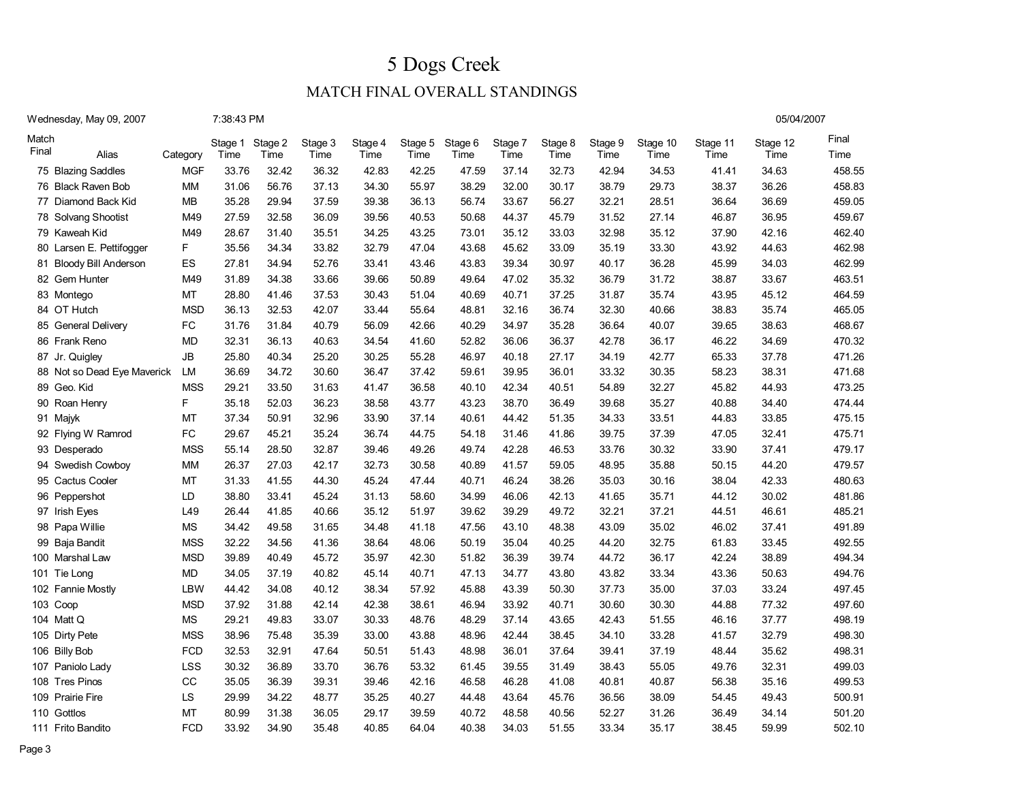05/04/2007

| Wednesday, May 09, 2007 | 7:38:43 PM |
|-------------------------|------------|
|                         |            |

| Match<br>Final | Alias                    | Category                                                                      | Stage 1<br>Time | Stage 2<br>Time | Stage 3<br>Time | Stage 4<br>Time | Stage 5<br>Time | Stage 6<br>Time | Stage 7<br>Time | Stage 8<br>Time | Stage 9<br>Time | Stage 10<br>Time | Stage 11<br>Time | Stage 12<br>Time | Final<br>Time |
|----------------|--------------------------|-------------------------------------------------------------------------------|-----------------|-----------------|-----------------|-----------------|-----------------|-----------------|-----------------|-----------------|-----------------|------------------|------------------|------------------|---------------|
|                | 75 Blazing Saddles       | <b>MGF</b>                                                                    | 33.76           | 32.42           | 36.32           | 42.83           | 42.25           | 47.59           | 37.14           | 32.73           | 42.94           | 34.53            | 41.41            | 34.63            | 458.55        |
| 76             | <b>Black Raven Bob</b>   | <b>MM</b>                                                                     | 31.06           | 56.76           | 37.13           | 34.30           | 55.97           | 38.29           | 32.00           | 30.17           | 38.79           | 29.73            | 38.37            | 36.26            | 458.83        |
| 77             | Diamond Back Kid         | MВ                                                                            | 35.28           | 29.94           | 37.59           | 39.38           | 36.13           | 56.74           | 33.67           | 56.27           | 32.21           | 28.51            | 36.64            | 36.69            | 459.05        |
| 78             | Solvang Shootist         | M49                                                                           | 27.59           | 32.58           | 36.09           | 39.56           | 40.53           | 50.68           | 44.37           | 45.79           | 31.52           | 27.14            | 46.87            | 36.95            | 459.67        |
|                | 79 Kaweah Kid            | M49                                                                           | 28.67           | 31.40           | 35.51           | 34.25           | 43.25           | 73.01           | 35.12           | 33.03           | 32.98           | 35.12            | 37.90            | 42.16            | 462.40        |
| 80             | Larsen E. Pettifogger    | F                                                                             | 35.56           | 34.34           | 33.82           | 32.79           | 47.04           | 43.68           | 45.62           | 33.09           | 35.19           | 33.30            | 43.92            | 44.63            | 462.98        |
|                | 81 Bloody Bill Anderson  | ES                                                                            | 27.81           | 34.94           | 52.76           | 33.41           | 43.46           | 43.83           | 39.34           | 30.97           | 40.17           | 36.28            | 45.99            | 34.03            | 462.99        |
|                | 82 Gem Hunter            | M49                                                                           | 31.89           | 34.38           | 33.66           | 39.66           | 50.89           | 49.64           | 47.02           | 35.32           | 36.79           | 31.72            | 38.87            | 33.67            | 463.51        |
|                | 83 Montego               | MT                                                                            | 28.80           | 41.46           | 37.53           | 30.43           | 51.04           | 40.69           | 40.71           | 37.25           | 31.87           | 35.74            | 43.95            | 45.12            | 464.59        |
|                | 84 OT Hutch              | <b>MSD</b>                                                                    | 36.13           | 32.53           | 42.07           | 33.44           | 55.64           | 48.81           | 32.16           | 36.74           | 32.30           | 40.66            | 38.83            | 35.74            | 465.05        |
| 85             | General Delivery         | FC                                                                            | 31.76           | 31.84           | 40.79           | 56.09           | 42.66           | 40.29           | 34.97           | 35.28           | 36.64           | 40.07            | 39.65            | 38.63            | 468.67        |
| 86             | Frank Reno               | <b>MD</b>                                                                     | 32.31           | 36.13           | 40.63           | 34.54           | 41.60           | 52.82           | 36.06           | 36.37           | 42.78           | 36.17            | 46.22            | 34.69            | 470.32        |
|                | 87 Jr. Quigley           | $\mathsf{JB}% (\mathcal{A},\mathcal{A})=\mathsf{JB}(\mathcal{A},\mathcal{A})$ | 25.80           | 40.34           | 25.20           | 30.25           | 55.28           | 46.97           | 40.18           | 27.17           | 34.19           | 42.77            | 65.33            | 37.78            | 471.26        |
| 88             | Not so Dead Eye Maverick | <b>LM</b>                                                                     | 36.69           | 34.72           | 30.60           | 36.47           | 37.42           | 59.61           | 39.95           | 36.01           | 33.32           | 30.35            | 58.23            | 38.31            | 471.68        |
| 89             | Geo. Kid                 | <b>MSS</b>                                                                    | 29.21           | 33.50           | 31.63           | 41.47           | 36.58           | 40.10           | 42.34           | 40.51           | 54.89           | 32.27            | 45.82            | 44.93            | 473.25        |
| 90             | Roan Henry               | F                                                                             | 35.18           | 52.03           | 36.23           | 38.58           | 43.77           | 43.23           | 38.70           | 36.49           | 39.68           | 35.27            | 40.88            | 34.40            | 474.44        |
|                | 91 Majyk                 | MT                                                                            | 37.34           | 50.91           | 32.96           | 33.90           | 37.14           | 40.61           | 44.42           | 51.35           | 34.33           | 33.51            | 44.83            | 33.85            | 475.15        |
|                | 92 Flying W Ramrod       | FC                                                                            | 29.67           | 45.21           | 35.24           | 36.74           | 44.75           | 54.18           | 31.46           | 41.86           | 39.75           | 37.39            | 47.05            | 32.41            | 475.71        |
|                | 93 Desperado             | <b>MSS</b>                                                                    | 55.14           | 28.50           | 32.87           | 39.46           | 49.26           | 49.74           | 42.28           | 46.53           | 33.76           | 30.32            | 33.90            | 37.41            | 479.17        |
|                | 94 Swedish Cowboy        | MM                                                                            | 26.37           | 27.03           | 42.17           | 32.73           | 30.58           | 40.89           | 41.57           | 59.05           | 48.95           | 35.88            | 50.15            | 44.20            | 479.57        |
|                | 95 Cactus Cooler         | MT                                                                            | 31.33           | 41.55           | 44.30           | 45.24           | 47.44           | 40.71           | 46.24           | 38.26           | 35.03           | 30.16            | 38.04            | 42.33            | 480.63        |
|                | 96 Peppershot            | LD                                                                            | 38.80           | 33.41           | 45.24           | 31.13           | 58.60           | 34.99           | 46.06           | 42.13           | 41.65           | 35.71            | 44.12            | 30.02            | 481.86        |
|                | 97 Irish Eyes            | L49                                                                           | 26.44           | 41.85           | 40.66           | 35.12           | 51.97           | 39.62           | 39.29           | 49.72           | 32.21           | 37.21            | 44.51            | 46.61            | 485.21        |
| 98             | Papa Willie              | <b>MS</b>                                                                     | 34.42           | 49.58           | 31.65           | 34.48           | 41.18           | 47.56           | 43.10           | 48.38           | 43.09           | 35.02            | 46.02            | 37.41            | 491.89        |
| 99             | Baja Bandit              | <b>MSS</b>                                                                    | 32.22           | 34.56           | 41.36           | 38.64           | 48.06           | 50.19           | 35.04           | 40.25           | 44.20           | 32.75            | 61.83            | 33.45            | 492.55        |
|                | 100 Marshal Law          | <b>MSD</b>                                                                    | 39.89           | 40.49           | 45.72           | 35.97           | 42.30           | 51.82           | 36.39           | 39.74           | 44.72           | 36.17            | 42.24            | 38.89            | 494.34        |
|                | 101 Tie Long             | MD                                                                            | 34.05           | 37.19           | 40.82           | 45.14           | 40.71           | 47.13           | 34.77           | 43.80           | 43.82           | 33.34            | 43.36            | 50.63            | 494.76        |
|                | 102 Fannie Mostly        | <b>LBW</b>                                                                    | 44.42           | 34.08           | 40.12           | 38.34           | 57.92           | 45.88           | 43.39           | 50.30           | 37.73           | 35.00            | 37.03            | 33.24            | 497.45        |
|                | 103 Coop                 | <b>MSD</b>                                                                    | 37.92           | 31.88           | 42.14           | 42.38           | 38.61           | 46.94           | 33.92           | 40.71           | 30.60           | 30.30            | 44.88            | 77.32            | 497.60        |
|                | 104 Matt Q               | <b>MS</b>                                                                     | 29.21           | 49.83           | 33.07           | 30.33           | 48.76           | 48.29           | 37.14           | 43.65           | 42.43           | 51.55            | 46.16            | 37.77            | 498.19        |
|                | 105 Dirty Pete           | <b>MSS</b>                                                                    | 38.96           | 75.48           | 35.39           | 33.00           | 43.88           | 48.96           | 42.44           | 38.45           | 34.10           | 33.28            | 41.57            | 32.79            | 498.30        |
|                | 106 Billy Bob            | <b>FCD</b>                                                                    | 32.53           | 32.91           | 47.64           | 50.51           | 51.43           | 48.98           | 36.01           | 37.64           | 39.41           | 37.19            | 48.44            | 35.62            | 498.31        |
|                | 107 Paniolo Lady         | <b>LSS</b>                                                                    | 30.32           | 36.89           | 33.70           | 36.76           | 53.32           | 61.45           | 39.55           | 31.49           | 38.43           | 55.05            | 49.76            | 32.31            | 499.03        |
|                | 108 Tres Pinos           | CC                                                                            | 35.05           | 36.39           | 39.31           | 39.46           | 42.16           | 46.58           | 46.28           | 41.08           | 40.81           | 40.87            | 56.38            | 35.16            | 499.53        |
| 109            | <b>Prairie Fire</b>      | <b>LS</b>                                                                     | 29.99           | 34.22           | 48.77           | 35.25           | 40.27           | 44.48           | 43.64           | 45.76           | 36.56           | 38.09            | 54.45            | 49.43            | 500.91        |
|                | 110 Gottlos              | MT                                                                            | 80.99           | 31.38           | 36.05           | 29.17           | 39.59           | 40.72           | 48.58           | 40.56           | 52.27           | 31.26            | 36.49            | 34.14            | 501.20        |
|                | 111 Frito Bandito        | <b>FCD</b>                                                                    | 33.92           | 34.90           | 35.48           | 40.85           | 64.04           | 40.38           | 34.03           | 51.55           | 33.34           | 35.17            | 38.45            | 59.99            | 502.10        |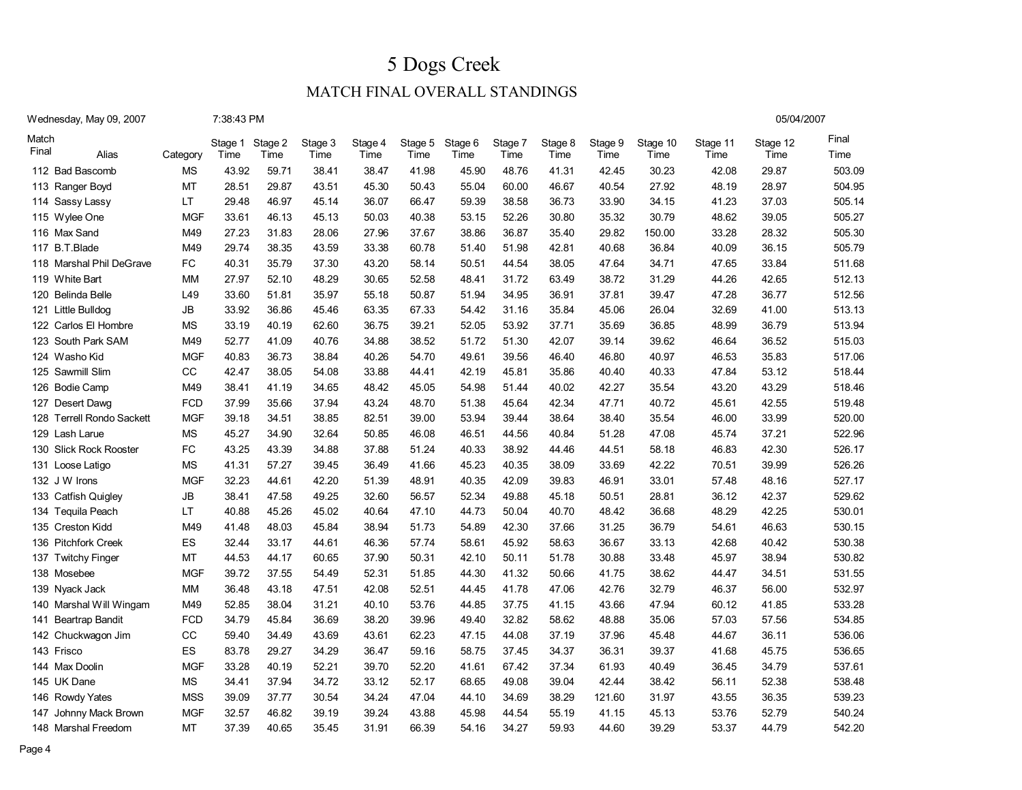### MATCH FINAL OVERALL STANDINGS

| Wednesday, May 09, 2007 |  |  |  |  |  |  |
|-------------------------|--|--|--|--|--|--|
|-------------------------|--|--|--|--|--|--|

|       | Wednesday, May 09, 2007      |            | 7:38:43 PM |         |         |         |       |                 |         |         |         |          |          | 05/04/2007 |        |
|-------|------------------------------|------------|------------|---------|---------|---------|-------|-----------------|---------|---------|---------|----------|----------|------------|--------|
| Match |                              |            | Stage 1    | Stage 2 | Stage 3 | Stage 4 |       | Stage 5 Stage 6 | Stage 7 | Stage 8 | Stage 9 | Stage 10 | Stage 11 | Stage 12   | Final  |
| Final | Alias                        | Category   | Time       | Time    | Time    | Time    | Time  | Time            | Time    | Time    | Time    | Time     | Time     | Time       | Time   |
|       | 112 Bad Bascomb              | MS         | 43.92      | 59.71   | 38.41   | 38.47   | 41.98 | 45.90           | 48.76   | 41.31   | 42.45   | 30.23    | 42.08    | 29.87      | 503.09 |
|       | 113 Ranger Boyd              | MT         | 28.51      | 29.87   | 43.51   | 45.30   | 50.43 | 55.04           | 60.00   | 46.67   | 40.54   | 27.92    | 48.19    | 28.97      | 504.95 |
| 114   | Sassy Lassy                  | LT.        | 29.48      | 46.97   | 45.14   | 36.07   | 66.47 | 59.39           | 38.58   | 36.73   | 33.90   | 34.15    | 41.23    | 37.03      | 505.14 |
| 115   | Wylee One                    | <b>MGF</b> | 33.61      | 46.13   | 45.13   | 50.03   | 40.38 | 53.15           | 52.26   | 30.80   | 35.32   | 30.79    | 48.62    | 39.05      | 505.27 |
| 116   | Max Sand                     | M49        | 27.23      | 31.83   | 28.06   | 27.96   | 37.67 | 38.86           | 36.87   | 35.40   | 29.82   | 150.00   | 33.28    | 28.32      | 505.30 |
| 117   | B.T.Blade                    | M49        | 29.74      | 38.35   | 43.59   | 33.38   | 60.78 | 51.40           | 51.98   | 42.81   | 40.68   | 36.84    | 40.09    | 36.15      | 505.79 |
| 118   | Marshal Phil DeGrave         | <b>FC</b>  | 40.31      | 35.79   | 37.30   | 43.20   | 58.14 | 50.51           | 44.54   | 38.05   | 47.64   | 34.71    | 47.65    | 33.84      | 511.68 |
| 119   | <b>White Bart</b>            | МM         | 27.97      | 52.10   | 48.29   | 30.65   | 52.58 | 48.41           | 31.72   | 63.49   | 38.72   | 31.29    | 44.26    | 42.65      | 512.13 |
| 120   | Belinda Belle                | L49        | 33.60      | 51.81   | 35.97   | 55.18   | 50.87 | 51.94           | 34.95   | 36.91   | 37.81   | 39.47    | 47.28    | 36.77      | 512.56 |
|       | 121 Little Bulldog           | JB         | 33.92      | 36.86   | 45.46   | 63.35   | 67.33 | 54.42           | 31.16   | 35.84   | 45.06   | 26.04    | 32.69    | 41.00      | 513.13 |
| 122   | Carlos El Hombre             | MS         | 33.19      | 40.19   | 62.60   | 36.75   | 39.21 | 52.05           | 53.92   | 37.71   | 35.69   | 36.85    | 48.99    | 36.79      | 513.94 |
| 123   | South Park SAM               | M49        | 52.77      | 41.09   | 40.76   | 34.88   | 38.52 | 51.72           | 51.30   | 42.07   | 39.14   | 39.62    | 46.64    | 36.52      | 515.03 |
|       | 124 Washo Kid                | <b>MGF</b> | 40.83      | 36.73   | 38.84   | 40.26   | 54.70 | 49.61           | 39.56   | 46.40   | 46.80   | 40.97    | 46.53    | 35.83      | 517.06 |
| 125   | Sawmill Slim                 | CC         | 42.47      | 38.05   | 54.08   | 33.88   | 44.41 | 42.19           | 45.81   | 35.86   | 40.40   | 40.33    | 47.84    | 53.12      | 518.44 |
|       | 126 Bodie Camp               | M49        | 38.41      | 41.19   | 34.65   | 48.42   | 45.05 | 54.98           | 51.44   | 40.02   | 42.27   | 35.54    | 43.20    | 43.29      | 518.46 |
| 127   | Desert Dawg                  | <b>FCD</b> | 37.99      | 35.66   | 37.94   | 43.24   | 48.70 | 51.38           | 45.64   | 42.34   | 47.71   | 40.72    | 45.61    | 42.55      | 519.48 |
| 128   | <b>Terrell Rondo Sackett</b> | <b>MGF</b> | 39.18      | 34.51   | 38.85   | 82.51   | 39.00 | 53.94           | 39.44   | 38.64   | 38.40   | 35.54    | 46.00    | 33.99      | 520.00 |
| 129   | Lash Larue                   | <b>MS</b>  | 45.27      | 34.90   | 32.64   | 50.85   | 46.08 | 46.51           | 44.56   | 40.84   | 51.28   | 47.08    | 45.74    | 37.21      | 522.96 |
| 130   | <b>Slick Rock Rooster</b>    | <b>FC</b>  | 43.25      | 43.39   | 34.88   | 37.88   | 51.24 | 40.33           | 38.92   | 44.46   | 44.51   | 58.18    | 46.83    | 42.30      | 526.17 |
|       | 131 Loose Latigo             | <b>MS</b>  | 41.31      | 57.27   | 39.45   | 36.49   | 41.66 | 45.23           | 40.35   | 38.09   | 33.69   | 42.22    | 70.51    | 39.99      | 526.26 |
|       | 132 J W Irons                | <b>MGF</b> | 32.23      | 44.61   | 42.20   | 51.39   | 48.91 | 40.35           | 42.09   | 39.83   | 46.91   | 33.01    | 57.48    | 48.16      | 527.17 |
| 133   | <b>Catfish Quigley</b>       | JB         | 38.41      | 47.58   | 49.25   | 32.60   | 56.57 | 52.34           | 49.88   | 45.18   | 50.51   | 28.81    | 36.12    | 42.37      | 529.62 |
| 134   | Tequila Peach                | LT         | 40.88      | 45.26   | 45.02   | 40.64   | 47.10 | 44.73           | 50.04   | 40.70   | 48.42   | 36.68    | 48.29    | 42.25      | 530.01 |
| 135   | <b>Creston Kidd</b>          | M49        | 41.48      | 48.03   | 45.84   | 38.94   | 51.73 | 54.89           | 42.30   | 37.66   | 31.25   | 36.79    | 54.61    | 46.63      | 530.15 |
| 136   | <b>Pitchfork Creek</b>       | <b>ES</b>  | 32.44      | 33.17   | 44.61   | 46.36   | 57.74 | 58.61           | 45.92   | 58.63   | 36.67   | 33.13    | 42.68    | 40.42      | 530.38 |
| 137   | <b>Twitchy Finger</b>        | МT         | 44.53      | 44.17   | 60.65   | 37.90   | 50.31 | 42.10           | 50.11   | 51.78   | 30.88   | 33.48    | 45.97    | 38.94      | 530.82 |
|       | 138 Mosebee                  | <b>MGF</b> | 39.72      | 37.55   | 54.49   | 52.31   | 51.85 | 44.30           | 41.32   | 50.66   | 41.75   | 38.62    | 44.47    | 34.51      | 531.55 |
| 139   | Nyack Jack                   | МM         | 36.48      | 43.18   | 47.51   | 42.08   | 52.51 | 44.45           | 41.78   | 47.06   | 42.76   | 32.79    | 46.37    | 56.00      | 532.97 |
| 140   | Marshal Will Wingam          | M49        | 52.85      | 38.04   | 31.21   | 40.10   | 53.76 | 44.85           | 37.75   | 41.15   | 43.66   | 47.94    | 60.12    | 41.85      | 533.28 |
| 141   | <b>Beartrap Bandit</b>       | FCD        | 34.79      | 45.84   | 36.69   | 38.20   | 39.96 | 49.40           | 32.82   | 58.62   | 48.88   | 35.06    | 57.03    | 57.56      | 534.85 |
| 142   | Chuckwagon Jim               | CС         | 59.40      | 34.49   | 43.69   | 43.61   | 62.23 | 47.15           | 44.08   | 37.19   | 37.96   | 45.48    | 44.67    | 36.11      | 536.06 |
|       | 143 Frisco                   | ES         | 83.78      | 29.27   | 34.29   | 36.47   | 59.16 | 58.75           | 37.45   | 34.37   | 36.31   | 39.37    | 41.68    | 45.75      | 536.65 |
| 144   | Max Doolin                   | <b>MGF</b> | 33.28      | 40.19   | 52.21   | 39.70   | 52.20 | 41.61           | 67.42   | 37.34   | 61.93   | 40.49    | 36.45    | 34.79      | 537.61 |
|       | 145 UK Dane                  | MS         | 34.41      | 37.94   | 34.72   | 33.12   | 52.17 | 68.65           | 49.08   | 39.04   | 42.44   | 38.42    | 56.11    | 52.38      | 538.48 |
|       | 146 Rowdy Yates              | <b>MSS</b> | 39.09      | 37.77   | 30.54   | 34.24   | 47.04 | 44.10           | 34.69   | 38.29   | 121.60  | 31.97    | 43.55    | 36.35      | 539.23 |
| 147   | Johnny Mack Brown            | <b>MGF</b> | 32.57      | 46.82   | 39.19   | 39.24   | 43.88 | 45.98           | 44.54   | 55.19   | 41.15   | 45.13    | 53.76    | 52.79      | 540.24 |
|       | 148 Marshal Freedom          | MT         | 37.39      | 40.65   | 35.45   | 31.91   | 66.39 | 54.16           | 34.27   | 59.93   | 44.60   | 39.29    | 53.37    | 44.79      | 542.20 |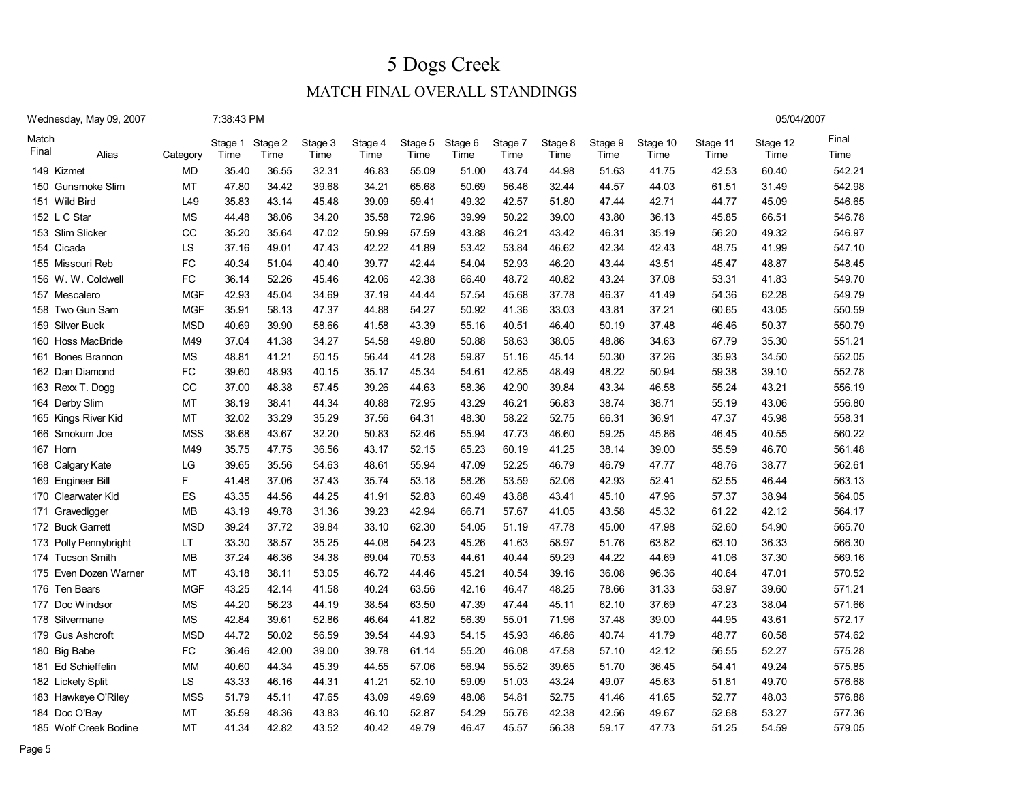05/04/2007

| Wednesday, May 09, 2007 | 7:38:43 PM |
|-------------------------|------------|
|                         |            |

| Match<br>Final | Alias                 | Category   | Stage 1<br>Time | Stage 2<br>Time | Stage 3<br>Time | Stage 4<br>Time | Stage 5<br>Time | Stage 6<br>Time | Stage 7<br>Time | Stage 8<br>Time | Stage 9<br>Time | Stage 10<br>Time | Stage 11<br>Time | Stage 12<br>Time | Final<br>Time |
|----------------|-----------------------|------------|-----------------|-----------------|-----------------|-----------------|-----------------|-----------------|-----------------|-----------------|-----------------|------------------|------------------|------------------|---------------|
|                | 149 Kizmet            | MD         | 35.40           | 36.55           | 32.31           | 46.83           | 55.09           | 51.00           | 43.74           | 44.98           | 51.63           | 41.75            | 42.53            | 60.40            | 542.21        |
| 150            | Gunsmoke Slim         | MT         | 47.80           | 34.42           | 39.68           | 34.21           | 65.68           | 50.69           | 56.46           | 32.44           | 44.57           | 44.03            | 61.51            | 31.49            | 542.98        |
| 151            | Wild Bird             | L49        | 35.83           | 43.14           | 45.48           | 39.09           | 59.41           | 49.32           | 42.57           | 51.80           | 47.44           | 42.71            | 44.77            | 45.09            | 546.65        |
|                | 152 L C Star          | <b>MS</b>  | 44.48           | 38.06           | 34.20           | 35.58           | 72.96           | 39.99           | 50.22           | 39.00           | 43.80           | 36.13            | 45.85            | 66.51            | 546.78        |
|                | 153 Slim Slicker      | CС         | 35.20           | 35.64           | 47.02           | 50.99           | 57.59           | 43.88           | 46.21           | 43.42           | 46.31           | 35.19            | 56.20            | 49.32            | 546.97        |
|                | 154 Cicada            | LS         | 37.16           | 49.01           | 47.43           | 42.22           | 41.89           | 53.42           | 53.84           | 46.62           | 42.34           | 42.43            | 48.75            | 41.99            | 547.10        |
|                | 155 Missouri Reb      | <b>FC</b>  | 40.34           | 51.04           | 40.40           | 39.77           | 42.44           | 54.04           | 52.93           | 46.20           | 43.44           | 43.51            | 45.47            | 48.87            | 548.45        |
|                | 156 W. W. Coldwell    | <b>FC</b>  | 36.14           | 52.26           | 45.46           | 42.06           | 42.38           | 66.40           | 48.72           | 40.82           | 43.24           | 37.08            | 53.31            | 41.83            | 549.70        |
|                | 157 Mescalero         | <b>MGF</b> | 42.93           | 45.04           | 34.69           | 37.19           | 44.44           | 57.54           | 45.68           | 37.78           | 46.37           | 41.49            | 54.36            | 62.28            | 549.79        |
|                | 158 Two Gun Sam       | <b>MGF</b> | 35.91           | 58.13           | 47.37           | 44.88           | 54.27           | 50.92           | 41.36           | 33.03           | 43.81           | 37.21            | 60.65            | 43.05            | 550.59        |
|                | 159 Silver Buck       | <b>MSD</b> | 40.69           | 39.90           | 58.66           | 41.58           | 43.39           | 55.16           | 40.51           | 46.40           | 50.19           | 37.48            | 46.46            | 50.37            | 550.79        |
|                | 160 Hoss MacBride     | M49        | 37.04           | 41.38           | 34.27           | 54.58           | 49.80           | 50.88           | 58.63           | 38.05           | 48.86           | 34.63            | 67.79            | 35.30            | 551.21        |
| 161            | <b>Bones Brannon</b>  | <b>MS</b>  | 48.81           | 41.21           | 50.15           | 56.44           | 41.28           | 59.87           | 51.16           | 45.14           | 50.30           | 37.26            | 35.93            | 34.50            | 552.05        |
|                | 162 Dan Diamond       | FC         | 39.60           | 48.93           | 40.15           | 35.17           | 45.34           | 54.61           | 42.85           | 48.49           | 48.22           | 50.94            | 59.38            | 39.10            | 552.78        |
|                | 163 Rexx T. Dogg      | CC         | 37.00           | 48.38           | 57.45           | 39.26           | 44.63           | 58.36           | 42.90           | 39.84           | 43.34           | 46.58            | 55.24            | 43.21            | 556.19        |
|                | 164 Derby Slim        | MT         | 38.19           | 38.41           | 44.34           | 40.88           | 72.95           | 43.29           | 46.21           | 56.83           | 38.74           | 38.71            | 55.19            | 43.06            | 556.80        |
|                | 165 Kings River Kid   | MT         | 32.02           | 33.29           | 35.29           | 37.56           | 64.31           | 48.30           | 58.22           | 52.75           | 66.31           | 36.91            | 47.37            | 45.98            | 558.31        |
|                | 166 Smokum Joe        | <b>MSS</b> | 38.68           | 43.67           | 32.20           | 50.83           | 52.46           | 55.94           | 47.73           | 46.60           | 59.25           | 45.86            | 46.45            | 40.55            | 560.22        |
|                | 167 Horn              | M49        | 35.75           | 47.75           | 36.56           | 43.17           | 52.15           | 65.23           | 60.19           | 41.25           | 38.14           | 39.00            | 55.59            | 46.70            | 561.48        |
|                | 168 Calgary Kate      | LG         | 39.65           | 35.56           | 54.63           | 48.61           | 55.94           | 47.09           | 52.25           | 46.79           | 46.79           | 47.77            | 48.76            | 38.77            | 562.61        |
|                | 169 Engineer Bill     | F          | 41.48           | 37.06           | 37.43           | 35.74           | 53.18           | 58.26           | 53.59           | 52.06           | 42.93           | 52.41            | 52.55            | 46.44            | 563.13        |
|                | 170 Clearwater Kid    | ES         | 43.35           | 44.56           | 44.25           | 41.91           | 52.83           | 60.49           | 43.88           | 43.41           | 45.10           | 47.96            | 57.37            | 38.94            | 564.05        |
| 171            | Gravedigger           | <b>MB</b>  | 43.19           | 49.78           | 31.36           | 39.23           | 42.94           | 66.71           | 57.67           | 41.05           | 43.58           | 45.32            | 61.22            | 42.12            | 564.17        |
|                | 172 Buck Garrett      | <b>MSD</b> | 39.24           | 37.72           | 39.84           | 33.10           | 62.30           | 54.05           | 51.19           | 47.78           | 45.00           | 47.98            | 52.60            | 54.90            | 565.70        |
|                | 173 Polly Pennybright | LT         | 33.30           | 38.57           | 35.25           | 44.08           | 54.23           | 45.26           | 41.63           | 58.97           | 51.76           | 63.82            | 63.10            | 36.33            | 566.30        |
|                | 174 Tucson Smith      | <b>MB</b>  | 37.24           | 46.36           | 34.38           | 69.04           | 70.53           | 44.61           | 40.44           | 59.29           | 44.22           | 44.69            | 41.06            | 37.30            | 569.16        |
|                | 175 Even Dozen Warner | MT         | 43.18           | 38.11           | 53.05           | 46.72           | 44.46           | 45.21           | 40.54           | 39.16           | 36.08           | 96.36            | 40.64            | 47.01            | 570.52        |
| 176            | Ten Bears             | <b>MGF</b> | 43.25           | 42.14           | 41.58           | 40.24           | 63.56           | 42.16           | 46.47           | 48.25           | 78.66           | 31.33            | 53.97            | 39.60            | 571.21        |
|                | 177 Doc Windsor       | <b>MS</b>  | 44.20           | 56.23           | 44.19           | 38.54           | 63.50           | 47.39           | 47.44           | 45.11           | 62.10           | 37.69            | 47.23            | 38.04            | 571.66        |
|                | 178 Silvermane        | <b>MS</b>  | 42.84           | 39.61           | 52.86           | 46.64           | 41.82           | 56.39           | 55.01           | 71.96           | 37.48           | 39.00            | 44.95            | 43.61            | 572.17        |
|                | 179 Gus Ashcroft      | <b>MSD</b> | 44.72           | 50.02           | 56.59           | 39.54           | 44.93           | 54.15           | 45.93           | 46.86           | 40.74           | 41.79            | 48.77            | 60.58            | 574.62        |
|                | 180 Big Babe          | FC         | 36.46           | 42.00           | 39.00           | 39.78           | 61.14           | 55.20           | 46.08           | 47.58           | 57.10           | 42.12            | 56.55            | 52.27            | 575.28        |
|                | 181 Ed Schieffelin    | <b>MM</b>  | 40.60           | 44.34           | 45.39           | 44.55           | 57.06           | 56.94           | 55.52           | 39.65           | 51.70           | 36.45            | 54.41            | 49.24            | 575.85        |
|                | 182 Lickety Split     | LS         | 43.33           | 46.16           | 44.31           | 41.21           | 52.10           | 59.09           | 51.03           | 43.24           | 49.07           | 45.63            | 51.81            | 49.70            | 576.68        |
|                | 183 Hawkeye O'Riley   | <b>MSS</b> | 51.79           | 45.11           | 47.65           | 43.09           | 49.69           | 48.08           | 54.81           | 52.75           | 41.46           | 41.65            | 52.77            | 48.03            | 576.88        |
|                | 184 Doc O'Bay         | MT         | 35.59           | 48.36           | 43.83           | 46.10           | 52.87           | 54.29           | 55.76           | 42.38           | 42.56           | 49.67            | 52.68            | 53.27            | 577.36        |
|                | 185 Wolf Creek Bodine | MT         | 41.34           | 42.82           | 43.52           | 40.42           | 49.79           | 46.47           | 45.57           | 56.38           | 59.17           | 47.73            | 51.25            | 54.59            | 579.05        |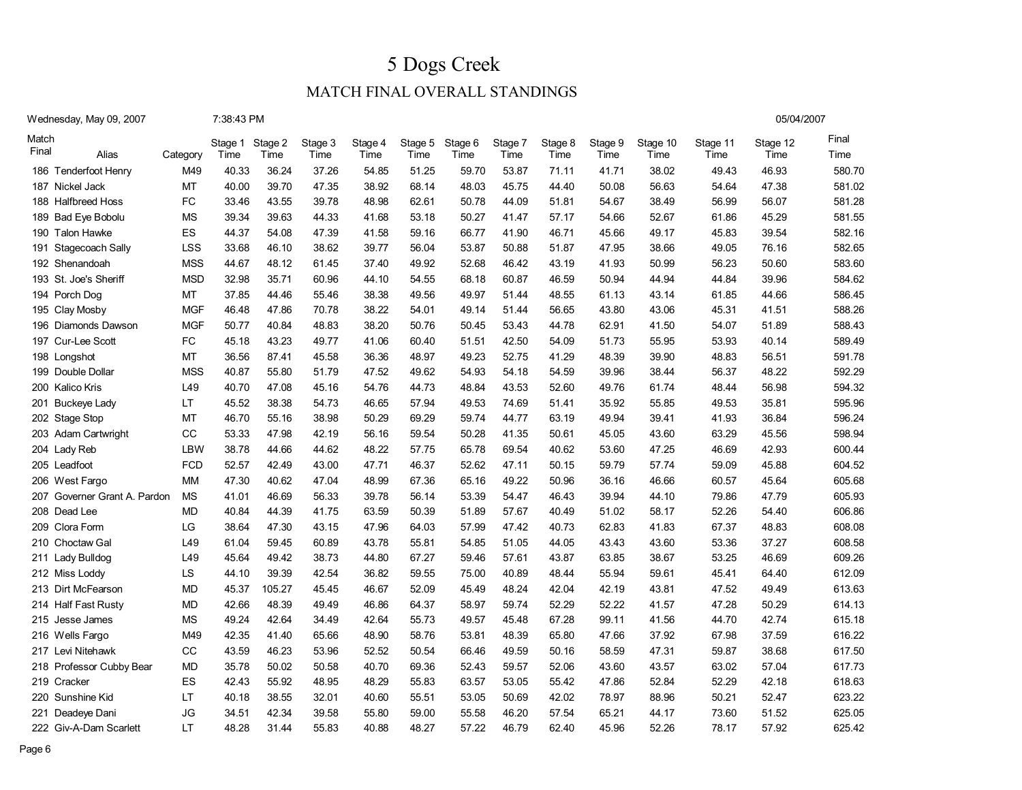### MATCH FINAL OVERALL STANDINGS

05/04/2007

| Wednesday, May 09, 2007 | 7:38:43 PM |
|-------------------------|------------|
|-------------------------|------------|

| Match<br>Final | Alias                        | Category   | Stage 1<br>Time | Stage 2<br>Time | Stage 3<br>Time | Stage 4<br>Time | Stage 5<br>Time | Stage 6<br>Time | Stage 7<br>Time | Stage 8<br>Time | Stage 9<br>Time | Stage 10<br>Time | Stage 11<br>Time | Stage 12<br>Time | Final<br>Time |
|----------------|------------------------------|------------|-----------------|-----------------|-----------------|-----------------|-----------------|-----------------|-----------------|-----------------|-----------------|------------------|------------------|------------------|---------------|
|                | 186 Tenderfoot Henry         | M49        | 40.33           | 36.24           | 37.26           | 54.85           | 51.25           | 59.70           | 53.87           | 71.11           | 41.71           | 38.02            | 49.43            | 46.93            | 580.70        |
|                | 187 Nickel Jack              | MT         | 40.00           | 39.70           | 47.35           | 38.92           | 68.14           | 48.03           | 45.75           | 44.40           | 50.08           | 56.63            | 54.64            | 47.38            | 581.02        |
|                | 188 Halfbreed Hoss           | FC         | 33.46           | 43.55           | 39.78           | 48.98           | 62.61           | 50.78           | 44.09           | 51.81           | 54.67           | 38.49            | 56.99            | 56.07            | 581.28        |
|                | 189 Bad Eye Bobolu           | <b>MS</b>  | 39.34           | 39.63           | 44.33           | 41.68           | 53.18           | 50.27           | 41.47           | 57.17           | 54.66           | 52.67            | 61.86            | 45.29            | 581.55        |
|                | 190 Talon Hawke              | ES         | 44.37           | 54.08           | 47.39           | 41.58           | 59.16           | 66.77           | 41.90           | 46.71           | 45.66           | 49.17            | 45.83            | 39.54            | 582.16        |
|                | 191 Stagecoach Sally         | LSS        | 33.68           | 46.10           | 38.62           | 39.77           | 56.04           | 53.87           | 50.88           | 51.87           | 47.95           | 38.66            | 49.05            | 76.16            | 582.65        |
|                | 192 Shenandoah               | <b>MSS</b> | 44.67           | 48.12           | 61.45           | 37.40           | 49.92           | 52.68           | 46.42           | 43.19           | 41.93           | 50.99            | 56.23            | 50.60            | 583.60        |
|                | 193 St. Joe's Sheriff        | <b>MSD</b> | 32.98           | 35.71           | 60.96           | 44.10           | 54.55           | 68.18           | 60.87           | 46.59           | 50.94           | 44.94            | 44.84            | 39.96            | 584.62        |
|                | 194 Porch Dog                | <b>MT</b>  | 37.85           | 44.46           | 55.46           | 38.38           | 49.56           | 49.97           | 51.44           | 48.55           | 61.13           | 43.14            | 61.85            | 44.66            | 586.45        |
|                | 195 Clay Mosby               | <b>MGF</b> | 46.48           | 47.86           | 70.78           | 38.22           | 54.01           | 49.14           | 51.44           | 56.65           | 43.80           | 43.06            | 45.31            | 41.51            | 588.26        |
|                | 196 Diamonds Dawson          | <b>MGF</b> | 50.77           | 40.84           | 48.83           | 38.20           | 50.76           | 50.45           | 53.43           | 44.78           | 62.91           | 41.50            | 54.07            | 51.89            | 588.43        |
|                | 197 Cur-Lee Scott            | FC         | 45.18           | 43.23           | 49.77           | 41.06           | 60.40           | 51.51           | 42.50           | 54.09           | 51.73           | 55.95            | 53.93            | 40.14            | 589.49        |
|                | 198 Longshot                 | <b>MT</b>  | 36.56           | 87.41           | 45.58           | 36.36           | 48.97           | 49.23           | 52.75           | 41.29           | 48.39           | 39.90            | 48.83            | 56.51            | 591.78        |
|                | 199 Double Dollar            | <b>MSS</b> | 40.87           | 55.80           | 51.79           | 47.52           | 49.62           | 54.93           | 54.18           | 54.59           | 39.96           | 38.44            | 56.37            | 48.22            | 592.29        |
|                | 200 Kalico Kris              | L49        | 40.70           | 47.08           | 45.16           | 54.76           | 44.73           | 48.84           | 43.53           | 52.60           | 49.76           | 61.74            | 48.44            | 56.98            | 594.32        |
|                | 201 Buckeye Lady             | LT         | 45.52           | 38.38           | 54.73           | 46.65           | 57.94           | 49.53           | 74.69           | 51.41           | 35.92           | 55.85            | 49.53            | 35.81            | 595.96        |
|                | 202 Stage Stop               | MT         | 46.70           | 55.16           | 38.98           | 50.29           | 69.29           | 59.74           | 44.77           | 63.19           | 49.94           | 39.41            | 41.93            | 36.84            | 596.24        |
|                | 203 Adam Cartwright          | CC         | 53.33           | 47.98           | 42.19           | 56.16           | 59.54           | 50.28           | 41.35           | 50.61           | 45.05           | 43.60            | 63.29            | 45.56            | 598.94        |
|                | 204 Lady Reb                 | LBW        | 38.78           | 44.66           | 44.62           | 48.22           | 57.75           | 65.78           | 69.54           | 40.62           | 53.60           | 47.25            | 46.69            | 42.93            | 600.44        |
|                | 205 Leadfoot                 | <b>FCD</b> | 52.57           | 42.49           | 43.00           | 47.71           | 46.37           | 52.62           | 47.11           | 50.15           | 59.79           | 57.74            | 59.09            | 45.88            | 604.52        |
|                | 206 West Fargo               | MM         | 47.30           | 40.62           | 47.04           | 48.99           | 67.36           | 65.16           | 49.22           | 50.96           | 36.16           | 46.66            | 60.57            | 45.64            | 605.68        |
|                | 207 Governer Grant A. Pardon | <b>MS</b>  | 41.01           | 46.69           | 56.33           | 39.78           | 56.14           | 53.39           | 54.47           | 46.43           | 39.94           | 44.10            | 79.86            | 47.79            | 605.93        |
|                | 208 Dead Lee                 | <b>MD</b>  | 40.84           | 44.39           | 41.75           | 63.59           | 50.39           | 51.89           | 57.67           | 40.49           | 51.02           | 58.17            | 52.26            | 54.40            | 606.86        |
|                | 209 Clora Form               | LG         | 38.64           | 47.30           | 43.15           | 47.96           | 64.03           | 57.99           | 47.42           | 40.73           | 62.83           | 41.83            | 67.37            | 48.83            | 608.08        |
|                | 210 Choctaw Gal              | L49        | 61.04           | 59.45           | 60.89           | 43.78           | 55.81           | 54.85           | 51.05           | 44.05           | 43.43           | 43.60            | 53.36            | 37.27            | 608.58        |
|                | 211 Lady Bulldog             | L49        | 45.64           | 49.42           | 38.73           | 44.80           | 67.27           | 59.46           | 57.61           | 43.87           | 63.85           | 38.67            | 53.25            | 46.69            | 609.26        |
|                | 212 Miss Loddy               | LS         | 44.10           | 39.39           | 42.54           | 36.82           | 59.55           | 75.00           | 40.89           | 48.44           | 55.94           | 59.61            | 45.41            | 64.40            | 612.09        |
|                | 213 Dirt McFearson           | <b>MD</b>  | 45.37           | 105.27          | 45.45           | 46.67           | 52.09           | 45.49           | 48.24           | 42.04           | 42.19           | 43.81            | 47.52            | 49.49            | 613.63        |
|                | 214 Half Fast Rusty          | <b>MD</b>  | 42.66           | 48.39           | 49.49           | 46.86           | 64.37           | 58.97           | 59.74           | 52.29           | 52.22           | 41.57            | 47.28            | 50.29            | 614.13        |
|                | 215 Jesse James              | <b>MS</b>  | 49.24           | 42.64           | 34.49           | 42.64           | 55.73           | 49.57           | 45.48           | 67.28           | 99.11           | 41.56            | 44.70            | 42.74            | 615.18        |
|                | 216 Wells Fargo              | M49        | 42.35           | 41.40           | 65.66           | 48.90           | 58.76           | 53.81           | 48.39           | 65.80           | 47.66           | 37.92            | 67.98            | 37.59            | 616.22        |
|                | 217 Levi Nitehawk            | CC         | 43.59           | 46.23           | 53.96           | 52.52           | 50.54           | 66.46           | 49.59           | 50.16           | 58.59           | 47.31            | 59.87            | 38.68            | 617.50        |
|                | 218 Professor Cubby Bear     | <b>MD</b>  | 35.78           | 50.02           | 50.58           | 40.70           | 69.36           | 52.43           | 59.57           | 52.06           | 43.60           | 43.57            | 63.02            | 57.04            | 617.73        |
|                | 219 Cracker                  | ES         | 42.43           | 55.92           | 48.95           | 48.29           | 55.83           | 63.57           | 53.05           | 55.42           | 47.86           | 52.84            | 52.29            | 42.18            | 618.63        |
|                | 220 Sunshine Kid             | LT         | 40.18           | 38.55           | 32.01           | 40.60           | 55.51           | 53.05           | 50.69           | 42.02           | 78.97           | 88.96            | 50.21            | 52.47            | 623.22        |
|                | 221 Deadeye Dani             | <b>JG</b>  | 34.51           | 42.34           | 39.58           | 55.80           | 59.00           | 55.58           | 46.20           | 57.54           | 65.21           | 44.17            | 73.60            | 51.52            | 625.05        |
|                | 222 Giv-A-Dam Scarlett       | LT         | 48.28           | 31.44           | 55.83           | 40.88           | 48.27           | 57.22           | 46.79           | 62.40           | 45.96           | 52.26            | 78.17            | 57.92            | 625.42        |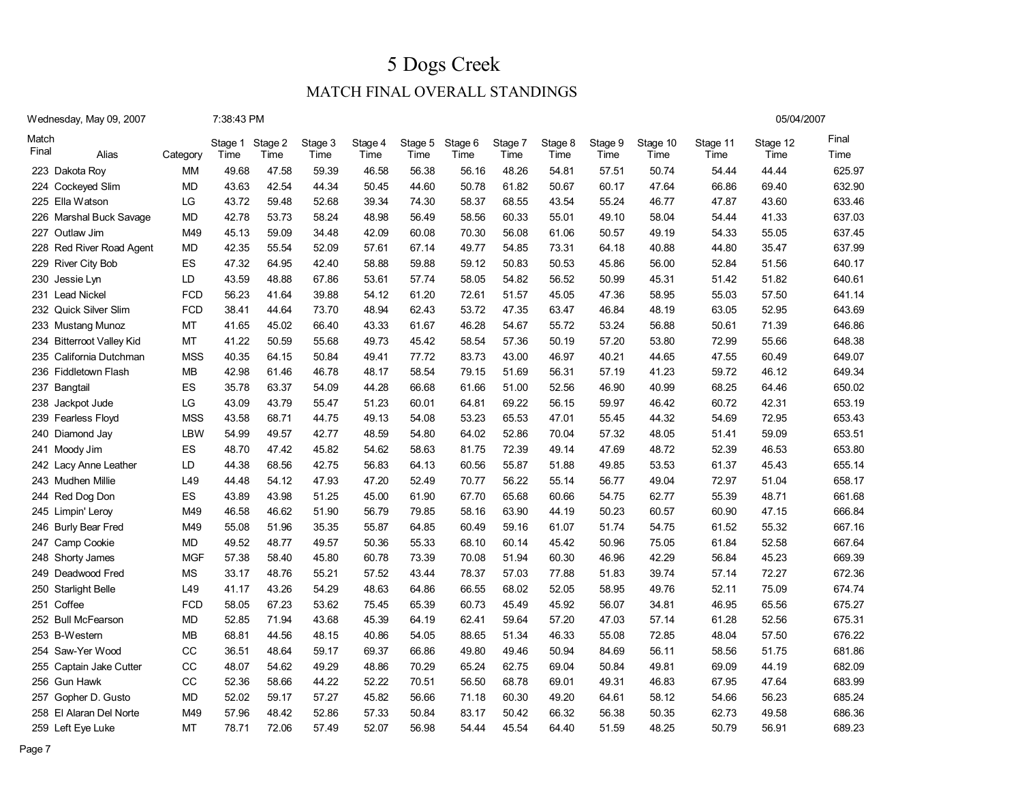05/04/2007

### MATCH FINAL OVERALL STANDINGS

#### Wednesday, May 09, 2007 7:38:43 PM

| Match<br>Final | Alias                     | Category   | Stage 1<br>Time | Stage 2<br>Time | Stage 3<br>Time | Stage 4<br>Time | Stage 5<br>Time | Stage 6<br>Time | Stage 7<br>Time | Stage 8<br>Time | Stage 9<br>Time | Stage 10<br>Time | Stage 11<br>Time | Stage 12<br>Time | Final<br>Time |
|----------------|---------------------------|------------|-----------------|-----------------|-----------------|-----------------|-----------------|-----------------|-----------------|-----------------|-----------------|------------------|------------------|------------------|---------------|
|                | 223 Dakota Roy            | <b>MM</b>  | 49.68           | 47.58           | 59.39           | 46.58           | 56.38           | 56.16           | 48.26           | 54.81           | 57.51           | 50.74            | 54.44            | 44.44            | 625.97        |
|                | 224 Cockeyed Slim         | <b>MD</b>  | 43.63           | 42.54           | 44.34           | 50.45           | 44.60           | 50.78           | 61.82           | 50.67           | 60.17           | 47.64            | 66.86            | 69.40            | 632.90        |
|                | 225 Ella Watson           | LG         | 43.72           | 59.48           | 52.68           | 39.34           | 74.30           | 58.37           | 68.55           | 43.54           | 55.24           | 46.77            | 47.87            | 43.60            | 633.46        |
|                | 226 Marshal Buck Savage   | <b>MD</b>  | 42.78           | 53.73           | 58.24           | 48.98           | 56.49           | 58.56           | 60.33           | 55.01           | 49.10           | 58.04            | 54.44            | 41.33            | 637.03        |
|                | 227 Outlaw Jim            | M49        | 45.13           | 59.09           | 34.48           | 42.09           | 60.08           | 70.30           | 56.08           | 61.06           | 50.57           | 49.19            | 54.33            | 55.05            | 637.45        |
|                | 228 Red River Road Agent  | <b>MD</b>  | 42.35           | 55.54           | 52.09           | 57.61           | 67.14           | 49.77           | 54.85           | 73.31           | 64.18           | 40.88            | 44.80            | 35.47            | 637.99        |
|                | 229 River City Bob        | ES         | 47.32           | 64.95           | 42.40           | 58.88           | 59.88           | 59.12           | 50.83           | 50.53           | 45.86           | 56.00            | 52.84            | 51.56            | 640.17        |
|                | 230 Jessie Lyn            | LD         | 43.59           | 48.88           | 67.86           | 53.61           | 57.74           | 58.05           | 54.82           | 56.52           | 50.99           | 45.31            | 51.42            | 51.82            | 640.61        |
|                | 231 Lead Nickel           | <b>FCD</b> | 56.23           | 41.64           | 39.88           | 54.12           | 61.20           | 72.61           | 51.57           | 45.05           | 47.36           | 58.95            | 55.03            | 57.50            | 641.14        |
|                | 232 Quick Silver Slim     | <b>FCD</b> | 38.41           | 44.64           | 73.70           | 48.94           | 62.43           | 53.72           | 47.35           | 63.47           | 46.84           | 48.19            | 63.05            | 52.95            | 643.69        |
|                | 233 Mustang Munoz         | MT         | 41.65           | 45.02           | 66.40           | 43.33           | 61.67           | 46.28           | 54.67           | 55.72           | 53.24           | 56.88            | 50.61            | 71.39            | 646.86        |
|                | 234 Bitterroot Valley Kid | MT         | 41.22           | 50.59           | 55.68           | 49.73           | 45.42           | 58.54           | 57.36           | 50.19           | 57.20           | 53.80            | 72.99            | 55.66            | 648.38        |
|                | 235 California Dutchman   | <b>MSS</b> | 40.35           | 64.15           | 50.84           | 49.41           | 77.72           | 83.73           | 43.00           | 46.97           | 40.21           | 44.65            | 47.55            | 60.49            | 649.07        |
|                | 236 Fiddletown Flash      | <b>MB</b>  | 42.98           | 61.46           | 46.78           | 48.17           | 58.54           | 79.15           | 51.69           | 56.31           | 57.19           | 41.23            | 59.72            | 46.12            | 649.34        |
|                | 237 Bangtail              | ES         | 35.78           | 63.37           | 54.09           | 44.28           | 66.68           | 61.66           | 51.00           | 52.56           | 46.90           | 40.99            | 68.25            | 64.46            | 650.02        |
|                | 238 Jackpot Jude          | LG         | 43.09           | 43.79           | 55.47           | 51.23           | 60.01           | 64.81           | 69.22           | 56.15           | 59.97           | 46.42            | 60.72            | 42.31            | 653.19        |
|                | 239 Fearless Floyd        | <b>MSS</b> | 43.58           | 68.71           | 44.75           | 49.13           | 54.08           | 53.23           | 65.53           | 47.01           | 55.45           | 44.32            | 54.69            | 72.95            | 653.43        |
|                | 240 Diamond Jay           | LBW        | 54.99           | 49.57           | 42.77           | 48.59           | 54.80           | 64.02           | 52.86           | 70.04           | 57.32           | 48.05            | 51.41            | 59.09            | 653.51        |
|                | 241 Moody Jim             | ES         | 48.70           | 47.42           | 45.82           | 54.62           | 58.63           | 81.75           | 72.39           | 49.14           | 47.69           | 48.72            | 52.39            | 46.53            | 653.80        |
|                | 242 Lacy Anne Leather     | LD         | 44.38           | 68.56           | 42.75           | 56.83           | 64.13           | 60.56           | 55.87           | 51.88           | 49.85           | 53.53            | 61.37            | 45.43            | 655.14        |
|                | 243 Mudhen Millie         | L49        | 44.48           | 54.12           | 47.93           | 47.20           | 52.49           | 70.77           | 56.22           | 55.14           | 56.77           | 49.04            | 72.97            | 51.04            | 658.17        |
|                | 244 Red Dog Don           | <b>ES</b>  | 43.89           | 43.98           | 51.25           | 45.00           | 61.90           | 67.70           | 65.68           | 60.66           | 54.75           | 62.77            | 55.39            | 48.71            | 661.68        |
|                | 245 Limpin' Leroy         | M49        | 46.58           | 46.62           | 51.90           | 56.79           | 79.85           | 58.16           | 63.90           | 44.19           | 50.23           | 60.57            | 60.90            | 47.15            | 666.84        |
|                | 246 Burly Bear Fred       | M49        | 55.08           | 51.96           | 35.35           | 55.87           | 64.85           | 60.49           | 59.16           | 61.07           | 51.74           | 54.75            | 61.52            | 55.32            | 667.16        |
|                | 247 Camp Cookie           | <b>MD</b>  | 49.52           | 48.77           | 49.57           | 50.36           | 55.33           | 68.10           | 60.14           | 45.42           | 50.96           | 75.05            | 61.84            | 52.58            | 667.64        |
|                | 248 Shorty James          | <b>MGF</b> | 57.38           | 58.40           | 45.80           | 60.78           | 73.39           | 70.08           | 51.94           | 60.30           | 46.96           | 42.29            | 56.84            | 45.23            | 669.39        |
|                | 249 Deadwood Fred         | <b>MS</b>  | 33.17           | 48.76           | 55.21           | 57.52           | 43.44           | 78.37           | 57.03           | 77.88           | 51.83           | 39.74            | 57.14            | 72.27            | 672.36        |
|                | 250 Starlight Belle       | L49        | 41.17           | 43.26           | 54.29           | 48.63           | 64.86           | 66.55           | 68.02           | 52.05           | 58.95           | 49.76            | 52.11            | 75.09            | 674.74        |
|                | 251 Coffee                | <b>FCD</b> | 58.05           | 67.23           | 53.62           | 75.45           | 65.39           | 60.73           | 45.49           | 45.92           | 56.07           | 34.81            | 46.95            | 65.56            | 675.27        |
|                | 252 Bull McFearson        | <b>MD</b>  | 52.85           | 71.94           | 43.68           | 45.39           | 64.19           | 62.41           | 59.64           | 57.20           | 47.03           | 57.14            | 61.28            | 52.56            | 675.31        |
|                | 253 B-Western             | MB         | 68.81           | 44.56           | 48.15           | 40.86           | 54.05           | 88.65           | 51.34           | 46.33           | 55.08           | 72.85            | 48.04            | 57.50            | 676.22        |
|                | 254 Saw-Yer Wood          | CC         | 36.51           | 48.64           | 59.17           | 69.37           | 66.86           | 49.80           | 49.46           | 50.94           | 84.69           | 56.11            | 58.56            | 51.75            | 681.86        |
|                | 255 Captain Jake Cutter   | CC         | 48.07           | 54.62           | 49.29           | 48.86           | 70.29           | 65.24           | 62.75           | 69.04           | 50.84           | 49.81            | 69.09            | 44.19            | 682.09        |
|                | 256 Gun Hawk              | CC         | 52.36           | 58.66           | 44.22           | 52.22           | 70.51           | 56.50           | 68.78           | 69.01           | 49.31           | 46.83            | 67.95            | 47.64            | 683.99        |
|                | 257 Gopher D. Gusto       | <b>MD</b>  | 52.02           | 59.17           | 57.27           | 45.82           | 56.66           | 71.18           | 60.30           | 49.20           | 64.61           | 58.12            | 54.66            | 56.23            | 685.24        |
|                | 258 El Alaran Del Norte   | M49        | 57.96           | 48.42           | 52.86           | 57.33           | 50.84           | 83.17           | 50.42           | 66.32           | 56.38           | 50.35            | 62.73            | 49.58            | 686.36        |
|                | 259 Left Eye Luke         | MT         | 78.71           | 72.06           | 57.49           | 52.07           | 56.98           | 54.44           | 45.54           | 64.40           | 51.59           | 48.25            | 50.79            | 56.91            | 689.23        |

Page 7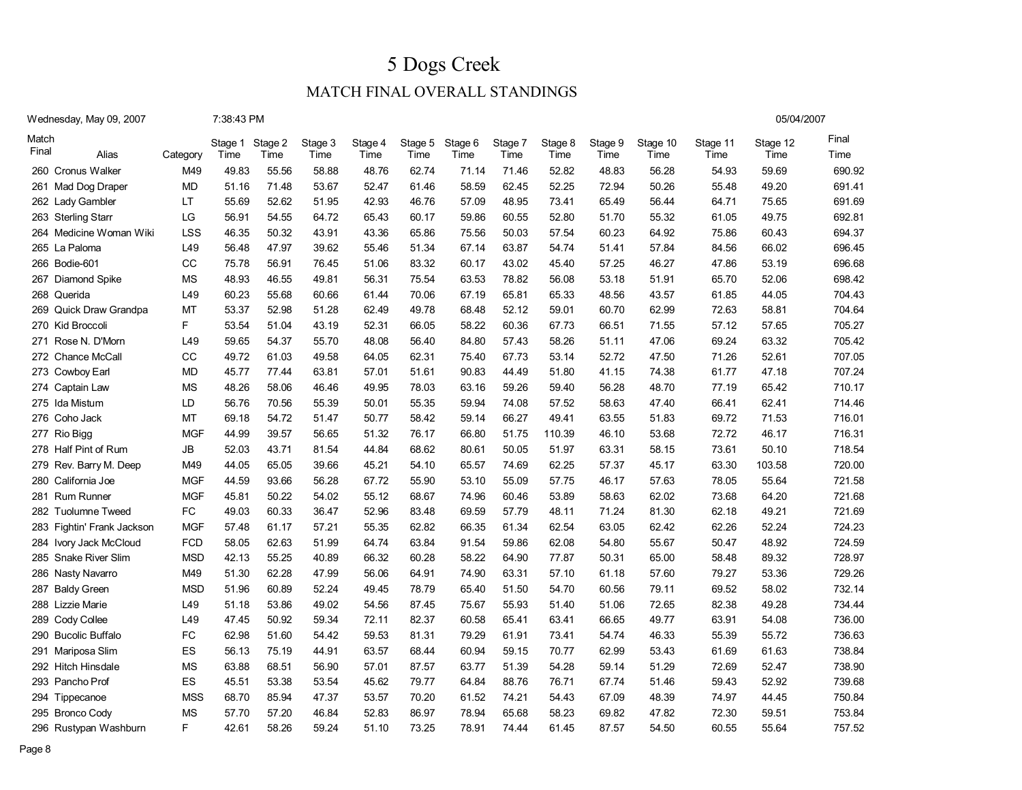05/04/2007

### MATCH FINAL OVERALL STANDINGS

Wednesday, May 09, 2007 7:38:43 PM

| Match<br>Final |                                  |                  | Stage 1        | Stage 2        | Stage 3        | Stage 4        | Stage 5        | Stage 6        | Stage 7        | Stage 8        | Stage 9        | Stage 10       | Stage 11       | Stage 12       | Final            |
|----------------|----------------------------------|------------------|----------------|----------------|----------------|----------------|----------------|----------------|----------------|----------------|----------------|----------------|----------------|----------------|------------------|
|                | Alias                            | Category         | Time           | Time           | Time           | Time           | Time           | Time           | Time           | Time           | Time           | Time           | Time           | Time           | Time             |
|                | 260 Cronus Walker                | M49              | 49.83          | 55.56<br>71.48 | 58.88<br>53.67 | 48.76<br>52.47 | 62.74          | 71.14<br>58.59 | 71.46<br>62.45 | 52.82<br>52.25 | 48.83<br>72.94 | 56.28<br>50.26 | 54.93<br>55.48 | 59.69<br>49.20 | 690.92<br>691.41 |
| 261            | Mad Dog Draper                   | MD               | 51.16          |                |                |                | 61.46          |                |                |                |                |                |                |                | 691.69           |
|                | 262 Lady Gambler                 | LT               | 55.69          | 52.62          | 51.95          | 42.93          | 46.76          | 57.09          | 48.95          | 73.41          | 65.49          | 56.44<br>55.32 | 64.71          | 75.65<br>49.75 | 692.81           |
|                | 263 Sterling Starr               | LG<br><b>LSS</b> | 56.91<br>46.35 | 54.55<br>50.32 | 64.72          | 65.43          | 60.17<br>65.86 | 59.86<br>75.56 | 60.55<br>50.03 | 52.80<br>57.54 | 51.70          |                | 61.05<br>75.86 |                | 694.37           |
| 264<br>265     | Medicine Woman Wiki<br>La Paloma | L49              | 56.48          | 47.97          | 43.91<br>39.62 | 43.36<br>55.46 | 51.34          | 67.14          | 63.87          | 54.74          | 60.23<br>51.41 | 64.92<br>57.84 | 84.56          | 60.43<br>66.02 | 696.45           |
| 266            | Bodie-601                        | CC               | 75.78          | 56.91          | 76.45          | 51.06          | 83.32          | 60.17          | 43.02          | 45.40          | 57.25          | 46.27          | 47.86          | 53.19          | 696.68           |
| 267            | Diamond Spike                    | <b>MS</b>        | 48.93          | 46.55          | 49.81          | 56.31          | 75.54          | 63.53          | 78.82          | 56.08          | 53.18          | 51.91          | 65.70          | 52.06          | 698.42           |
| 268            | Querida                          | L49              | 60.23          | 55.68          | 60.66          | 61.44          | 70.06          | 67.19          | 65.81          | 65.33          | 48.56          | 43.57          | 61.85          | 44.05          | 704.43           |
| 269            | Quick Draw Grandpa               | MT               | 53.37          | 52.98          | 51.28          | 62.49          | 49.78          | 68.48          | 52.12          | 59.01          | 60.70          | 62.99          | 72.63          | 58.81          | 704.64           |
|                | 270 Kid Broccoli                 | F.               | 53.54          | 51.04          | 43.19          | 52.31          | 66.05          | 58.22          | 60.36          | 67.73          | 66.51          | 71.55          | 57.12          | 57.65          | 705.27           |
| 271            | Rose N. D'Morn                   | L49              | 59.65          | 54.37          | 55.70          | 48.08          | 56.40          | 84.80          | 57.43          | 58.26          | 51.11          | 47.06          | 69.24          | 63.32          | 705.42           |
| 272            | <b>Chance McCall</b>             | CC               | 49.72          | 61.03          | 49.58          | 64.05          | 62.31          | 75.40          | 67.73          | 53.14          | 52.72          | 47.50          | 71.26          | 52.61          | 707.05           |
| 273            | Cowboy Earl                      | MD               | 45.77          | 77.44          | 63.81          | 57.01          | 51.61          | 90.83          | 44.49          | 51.80          | 41.15          | 74.38          | 61.77          | 47.18          | 707.24           |
| 274            | Captain Law                      | <b>MS</b>        | 48.26          | 58.06          | 46.46          | 49.95          | 78.03          | 63.16          | 59.26          | 59.40          | 56.28          | 48.70          | 77.19          | 65.42          | 710.17           |
| 275            | Ida Mistum                       | LD               | 56.76          | 70.56          | 55.39          | 50.01          | 55.35          | 59.94          | 74.08          | 57.52          | 58.63          | 47.40          | 66.41          | 62.41          | 714.46           |
| 276            | Coho Jack                        | MT               | 69.18          | 54.72          | 51.47          | 50.77          | 58.42          | 59.14          | 66.27          | 49.41          | 63.55          | 51.83          | 69.72          | 71.53          | 716.01           |
| 277            | Rio Bigg                         | <b>MGF</b>       | 44.99          | 39.57          | 56.65          | 51.32          | 76.17          | 66.80          | 51.75          | 110.39         | 46.10          | 53.68          | 72.72          | 46.17          | 716.31           |
|                | 278 Half Pint of Rum             | JB               | 52.03          | 43.71          | 81.54          | 44.84          | 68.62          | 80.61          | 50.05          | 51.97          | 63.31          | 58.15          | 73.61          | 50.10          | 718.54           |
| 279            | Rev. Barry M. Deep               | M49              | 44.05          | 65.05          | 39.66          | 45.21          | 54.10          | 65.57          | 74.69          | 62.25          | 57.37          | 45.17          | 63.30          | 103.58         | 720.00           |
| 280            | California Joe                   | <b>MGF</b>       | 44.59          | 93.66          | 56.28          | 67.72          | 55.90          | 53.10          | 55.09          | 57.75          | 46.17          | 57.63          | 78.05          | 55.64          | 721.58           |
| 281            | <b>Rum Runner</b>                | <b>MGF</b>       | 45.81          | 50.22          | 54.02          | 55.12          | 68.67          | 74.96          | 60.46          | 53.89          | 58.63          | 62.02          | 73.68          | 64.20          | 721.68           |
| 282            | <b>Tuolumne Tweed</b>            | FC               | 49.03          | 60.33          | 36.47          | 52.96          | 83.48          | 69.59          | 57.79          | 48.11          | 71.24          | 81.30          | 62.18          | 49.21          | 721.69           |
| 283            | Fightin' Frank Jackson           | <b>MGF</b>       | 57.48          | 61.17          | 57.21          | 55.35          | 62.82          | 66.35          | 61.34          | 62.54          | 63.05          | 62.42          | 62.26          | 52.24          | 724.23           |
| 284            | Ivory Jack McCloud               | <b>FCD</b>       | 58.05          | 62.63          | 51.99          | 64.74          | 63.84          | 91.54          | 59.86          | 62.08          | 54.80          | 55.67          | 50.47          | 48.92          | 724.59           |
| 285            | Snake River Slim                 | <b>MSD</b>       | 42.13          | 55.25          | 40.89          | 66.32          | 60.28          | 58.22          | 64.90          | 77.87          | 50.31          | 65.00          | 58.48          | 89.32          | 728.97           |
| 286            | Nasty Navarro                    | M49              | 51.30          | 62.28          | 47.99          | 56.06          | 64.91          | 74.90          | 63.31          | 57.10          | 61.18          | 57.60          | 79.27          | 53.36          | 729.26           |
| 287            | <b>Baldy Green</b>               | <b>MSD</b>       | 51.96          | 60.89          | 52.24          | 49.45          | 78.79          | 65.40          | 51.50          | 54.70          | 60.56          | 79.11          | 69.52          | 58.02          | 732.14           |
| 288            | Lizzie Marie                     | L49              | 51.18          | 53.86          | 49.02          | 54.56          | 87.45          | 75.67          | 55.93          | 51.40          | 51.06          | 72.65          | 82.38          | 49.28          | 734.44           |
| 289            | Cody Collee                      | L49              | 47.45          | 50.92          | 59.34          | 72.11          | 82.37          | 60.58          | 65.41          | 63.41          | 66.65          | 49.77          | 63.91          | 54.08          | 736.00           |
|                | 290 Bucolic Buffalo              | FC               | 62.98          | 51.60          | 54.42          | 59.53          | 81.31          | 79.29          | 61.91          | 73.41          | 54.74          | 46.33          | 55.39          | 55.72          | 736.63           |
| 291            | Mariposa Slim                    | ES               | 56.13          | 75.19          | 44.91          | 63.57          | 68.44          | 60.94          | 59.15          | 70.77          | 62.99          | 53.43          | 61.69          | 61.63          | 738.84           |
|                | 292 Hitch Hinsdale               | <b>MS</b>        | 63.88          | 68.51          | 56.90          | 57.01          | 87.57          | 63.77          | 51.39          | 54.28          | 59.14          | 51.29          | 72.69          | 52.47          | 738.90           |
| 293            | Pancho Prof                      | <b>ES</b>        | 45.51          | 53.38          | 53.54          | 45.62          | 79.77          | 64.84          | 88.76          | 76.71          | 67.74          | 51.46          | 59.43          | 52.92          | 739.68           |
| 294            | Tippecanoe                       | <b>MSS</b>       | 68.70          | 85.94          | 47.37          | 53.57          | 70.20          | 61.52          | 74.21          | 54.43          | 67.09          | 48.39          | 74.97          | 44.45          | 750.84           |
| 295            | <b>Bronco Cody</b>               | <b>MS</b>        | 57.70          | 57.20          | 46.84          | 52.83          | 86.97          | 78.94          | 65.68          | 58.23          | 69.82          | 47.82          | 72.30          | 59.51          | 753.84           |
| 296            | Rustypan Washburn                | F                | 42.61          | 58.26          | 59.24          | 51.10          | 73.25          | 78.91          | 74.44          | 61.45          | 87.57          | 54.50          | 60.55          | 55.64          | 757.52           |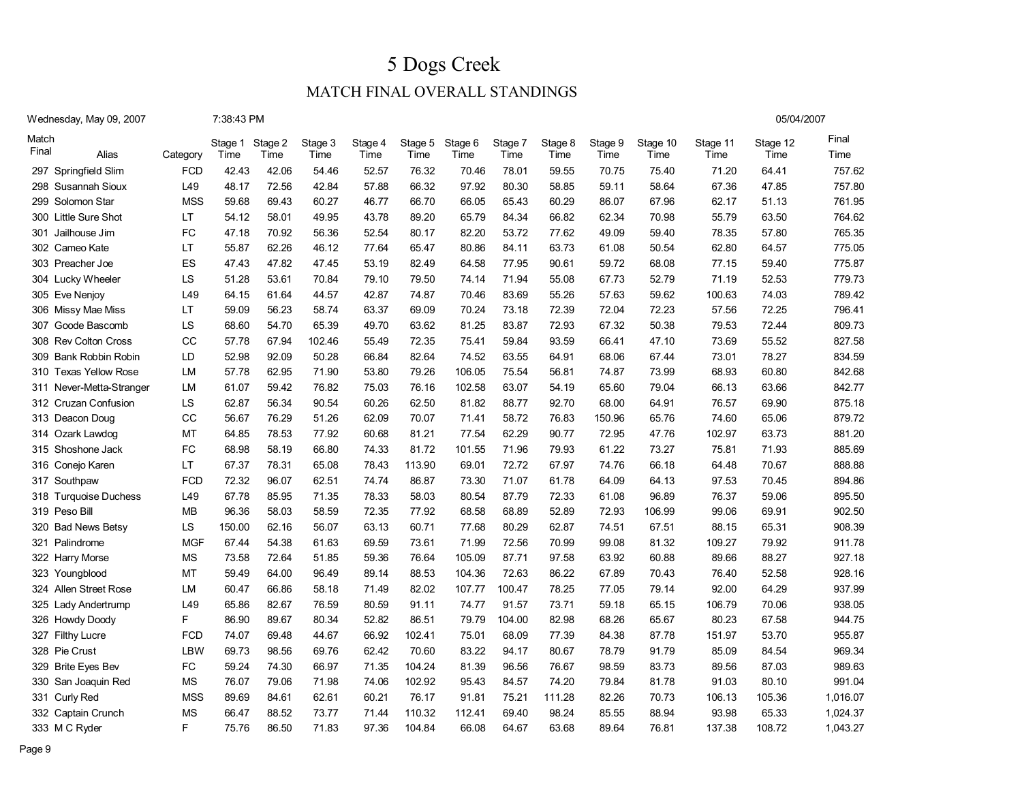05/04/2007

### MATCH FINAL OVERALL STANDINGS

#### Wednesday, May 09, 2007 7:38:43 PM

| Match<br>Final | Alias                    | Category   | Stage 1<br>Time | Stage 2<br>Time | Stage 3<br>Time | Stage 4<br>Time | Stage 5<br>Time | Stage 6<br>Time | Stage 7<br>Time | Stage 8<br>Time | Stage 9<br>Time | Stage 10<br>Time | Stage 11<br>Time | Stage 12<br>Time | Final<br>Time |
|----------------|--------------------------|------------|-----------------|-----------------|-----------------|-----------------|-----------------|-----------------|-----------------|-----------------|-----------------|------------------|------------------|------------------|---------------|
|                | 297 Springfield Slim     | <b>FCD</b> | 42.43           | 42.06           | 54.46           | 52.57           | 76.32           | 70.46           | 78.01           | 59.55           | 70.75           | 75.40            | 71.20            | 64.41            | 757.62        |
|                | 298 Susannah Sioux       | L49        | 48.17           | 72.56           | 42.84           | 57.88           | 66.32           | 97.92           | 80.30           | 58.85           | 59.11           | 58.64            | 67.36            | 47.85            | 757.80        |
|                | 299 Solomon Star         | <b>MSS</b> | 59.68           | 69.43           | 60.27           | 46.77           | 66.70           | 66.05           | 65.43           | 60.29           | 86.07           | 67.96            | 62.17            | 51.13            | 761.95        |
|                | 300 Little Sure Shot     | <b>LT</b>  | 54.12           | 58.01           | 49.95           | 43.78           | 89.20           | 65.79           | 84.34           | 66.82           | 62.34           | 70.98            | 55.79            | 63.50            | 764.62        |
|                | 301 Jailhouse Jim        | <b>FC</b>  | 47.18           | 70.92           | 56.36           | 52.54           | 80.17           | 82.20           | 53.72           | 77.62           | 49.09           | 59.40            | 78.35            | 57.80            | 765.35        |
|                | 302 Cameo Kate           | <b>LT</b>  | 55.87           | 62.26           | 46.12           | 77.64           | 65.47           | 80.86           | 84.11           | 63.73           | 61.08           | 50.54            | 62.80            | 64.57            | 775.05        |
|                | 303 Preacher Joe         | ES         | 47.43           | 47.82           | 47.45           | 53.19           | 82.49           | 64.58           | 77.95           | 90.61           | 59.72           | 68.08            | 77.15            | 59.40            | 775.87        |
|                | 304 Lucky Wheeler        | LS         | 51.28           | 53.61           | 70.84           | 79.10           | 79.50           | 74.14           | 71.94           | 55.08           | 67.73           | 52.79            | 71.19            | 52.53            | 779.73        |
|                | 305 Eve Nenjoy           | L49        | 64.15           | 61.64           | 44.57           | 42.87           | 74.87           | 70.46           | 83.69           | 55.26           | 57.63           | 59.62            | 100.63           | 74.03            | 789.42        |
|                | 306 Missy Mae Miss       | LT         | 59.09           | 56.23           | 58.74           | 63.37           | 69.09           | 70.24           | 73.18           | 72.39           | 72.04           | 72.23            | 57.56            | 72.25            | 796.41        |
|                | 307 Goode Bascomb        | LS         | 68.60           | 54.70           | 65.39           | 49.70           | 63.62           | 81.25           | 83.87           | 72.93           | 67.32           | 50.38            | 79.53            | 72.44            | 809.73        |
|                | 308 Rev Colton Cross     | CC         | 57.78           | 67.94           | 102.46          | 55.49           | 72.35           | 75.41           | 59.84           | 93.59           | 66.41           | 47.10            | 73.69            | 55.52            | 827.58        |
|                | 309 Bank Robbin Robin    | LD         | 52.98           | 92.09           | 50.28           | 66.84           | 82.64           | 74.52           | 63.55           | 64.91           | 68.06           | 67.44            | 73.01            | 78.27            | 834.59        |
|                | 310 Texas Yellow Rose    | LM         | 57.78           | 62.95           | 71.90           | 53.80           | 79.26           | 106.05          | 75.54           | 56.81           | 74.87           | 73.99            | 68.93            | 60.80            | 842.68        |
|                | 311 Never-Metta-Stranger | <b>LM</b>  | 61.07           | 59.42           | 76.82           | 75.03           | 76.16           | 102.58          | 63.07           | 54.19           | 65.60           | 79.04            | 66.13            | 63.66            | 842.77        |
|                | 312 Cruzan Confusion     | LS         | 62.87           | 56.34           | 90.54           | 60.26           | 62.50           | 81.82           | 88.77           | 92.70           | 68.00           | 64.91            | 76.57            | 69.90            | 875.18        |
|                | 313 Deacon Doug          | CC         | 56.67           | 76.29           | 51.26           | 62.09           | 70.07           | 71.41           | 58.72           | 76.83           | 150.96          | 65.76            | 74.60            | 65.06            | 879.72        |
|                | 314 Ozark Lawdog         | MT         | 64.85           | 78.53           | 77.92           | 60.68           | 81.21           | 77.54           | 62.29           | 90.77           | 72.95           | 47.76            | 102.97           | 63.73            | 881.20        |
|                | 315 Shoshone Jack        | <b>FC</b>  | 68.98           | 58.19           | 66.80           | 74.33           | 81.72           | 101.55          | 71.96           | 79.93           | 61.22           | 73.27            | 75.81            | 71.93            | 885.69        |
|                | 316 Conejo Karen         | LT         | 67.37           | 78.31           | 65.08           | 78.43           | 113.90          | 69.01           | 72.72           | 67.97           | 74.76           | 66.18            | 64.48            | 70.67            | 888.88        |
|                | 317 Southpaw             | <b>FCD</b> | 72.32           | 96.07           | 62.51           | 74.74           | 86.87           | 73.30           | 71.07           | 61.78           | 64.09           | 64.13            | 97.53            | 70.45            | 894.86        |
|                | 318 Turquoise Duchess    | L49        | 67.78           | 85.95           | 71.35           | 78.33           | 58.03           | 80.54           | 87.79           | 72.33           | 61.08           | 96.89            | 76.37            | 59.06            | 895.50        |
|                | 319 Peso Bill            | <b>MB</b>  | 96.36           | 58.03           | 58.59           | 72.35           | 77.92           | 68.58           | 68.89           | 52.89           | 72.93           | 106.99           | 99.06            | 69.91            | 902.50        |
|                | 320 Bad News Betsy       | LS         | 150.00          | 62.16           | 56.07           | 63.13           | 60.71           | 77.68           | 80.29           | 62.87           | 74.51           | 67.51            | 88.15            | 65.31            | 908.39        |
|                | 321 Palindrome           | <b>MGF</b> | 67.44           | 54.38           | 61.63           | 69.59           | 73.61           | 71.99           | 72.56           | 70.99           | 99.08           | 81.32            | 109.27           | 79.92            | 911.78        |
|                | 322 Harry Morse          | <b>MS</b>  | 73.58           | 72.64           | 51.85           | 59.36           | 76.64           | 105.09          | 87.71           | 97.58           | 63.92           | 60.88            | 89.66            | 88.27            | 927.18        |
|                | 323 Youngblood           | MT         | 59.49           | 64.00           | 96.49           | 89.14           | 88.53           | 104.36          | 72.63           | 86.22           | 67.89           | 70.43            | 76.40            | 52.58            | 928.16        |
|                | 324 Allen Street Rose    | LM         | 60.47           | 66.86           | 58.18           | 71.49           | 82.02           | 107.77          | 100.47          | 78.25           | 77.05           | 79.14            | 92.00            | 64.29            | 937.99        |
|                | 325 Lady Andertrump      | L49        | 65.86           | 82.67           | 76.59           | 80.59           | 91.11           | 74.77           | 91.57           | 73.71           | 59.18           | 65.15            | 106.79           | 70.06            | 938.05        |
|                | 326 Howdy Doody          | F          | 86.90           | 89.67           | 80.34           | 52.82           | 86.51           | 79.79           | 104.00          | 82.98           | 68.26           | 65.67            | 80.23            | 67.58            | 944.75        |
|                | 327 Filthy Lucre         | <b>FCD</b> | 74.07           | 69.48           | 44.67           | 66.92           | 102.41          | 75.01           | 68.09           | 77.39           | 84.38           | 87.78            | 151.97           | 53.70            | 955.87        |
|                | 328 Pie Crust            | LBW        | 69.73           | 98.56           | 69.76           | 62.42           | 70.60           | 83.22           | 94.17           | 80.67           | 78.79           | 91.79            | 85.09            | 84.54            | 969.34        |
|                | 329 Brite Eyes Bev       | FC         | 59.24           | 74.30           | 66.97           | 71.35           | 104.24          | 81.39           | 96.56           | 76.67           | 98.59           | 83.73            | 89.56            | 87.03            | 989.63        |
|                | 330 San Joaquin Red      | <b>MS</b>  | 76.07           | 79.06           | 71.98           | 74.06           | 102.92          | 95.43           | 84.57           | 74.20           | 79.84           | 81.78            | 91.03            | 80.10            | 991.04        |
|                | 331 Curly Red            | <b>MSS</b> | 89.69           | 84.61           | 62.61           | 60.21           | 76.17           | 91.81           | 75.21           | 111.28          | 82.26           | 70.73            | 106.13           | 105.36           | 1,016.07      |
|                | 332 Captain Crunch       | <b>MS</b>  | 66.47           | 88.52           | 73.77           | 71.44           | 110.32          | 112.41          | 69.40           | 98.24           | 85.55           | 88.94            | 93.98            | 65.33            | 1,024.37      |
|                | 333 M C Ryder            | F          | 75.76           | 86.50           | 71.83           | 97.36           | 104.84          | 66.08           | 64.67           | 63.68           | 89.64           | 76.81            | 137.38           | 108.72           | 1,043.27      |

Page 9